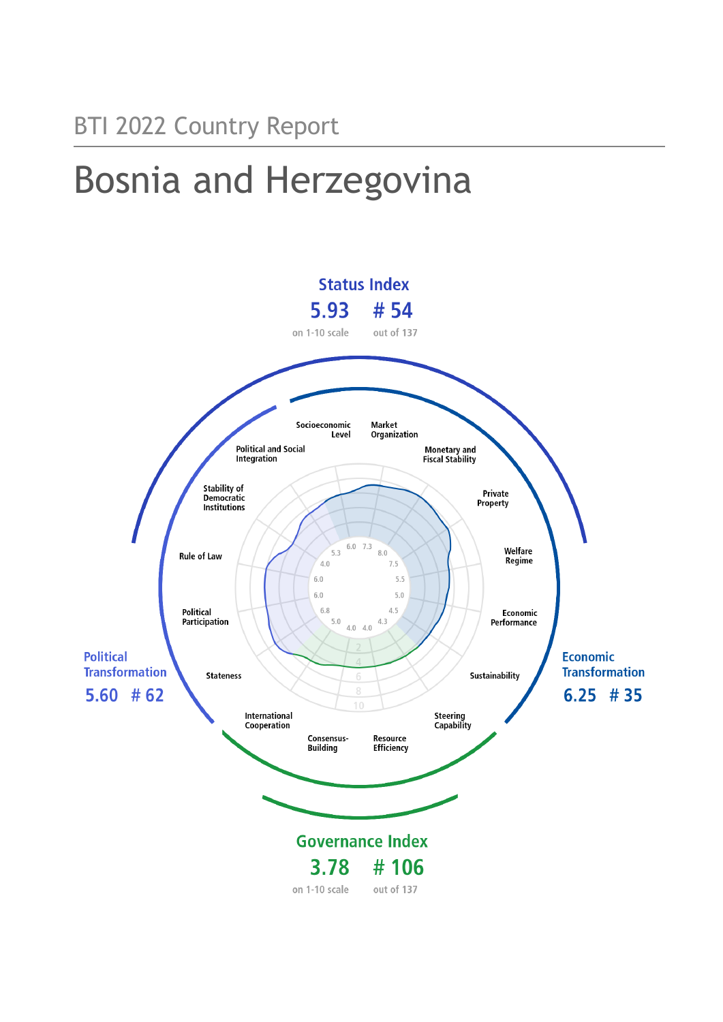# Bosnia and Herzegovina

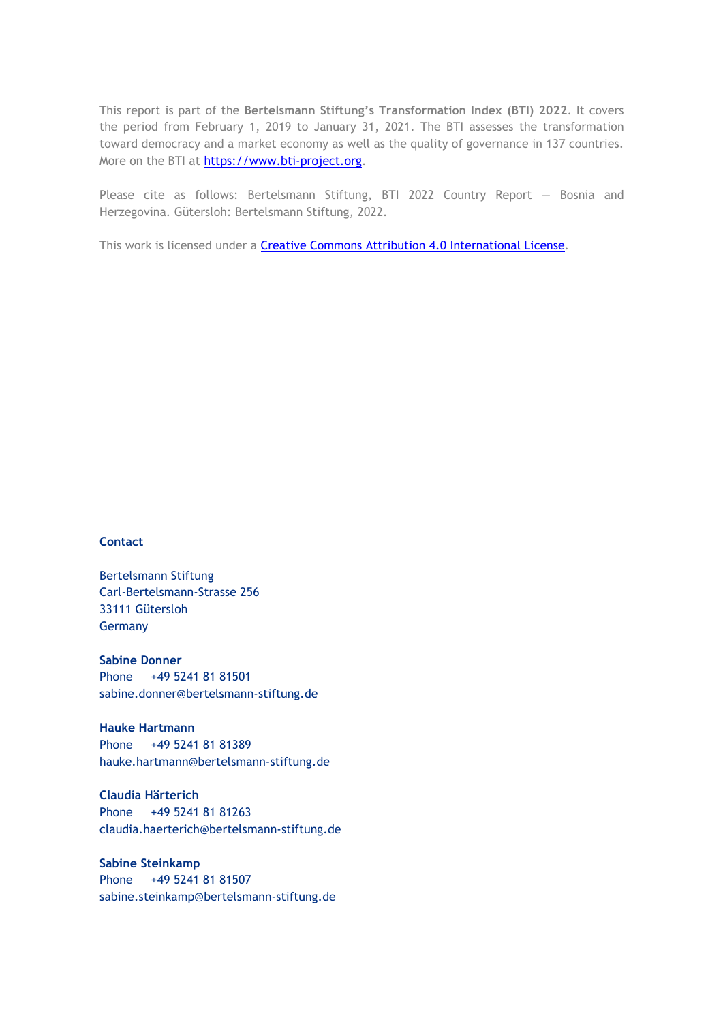This report is part of the **Bertelsmann Stiftung's Transformation Index (BTI) 2022**. It covers the period from February 1, 2019 to January 31, 2021. The BTI assesses the transformation toward democracy and a market economy as well as the quality of governance in 137 countries. More on the BTI at [https://www.bti-project.org.](https://www.bti-project.org/)

Please cite as follows: Bertelsmann Stiftung, BTI 2022 Country Report — Bosnia and Herzegovina. Gütersloh: Bertelsmann Stiftung, 2022.

This work is licensed under a **Creative Commons Attribution 4.0 International License**.

#### **Contact**

Bertelsmann Stiftung Carl-Bertelsmann-Strasse 256 33111 Gütersloh Germany

**Sabine Donner** Phone +49 5241 81 81501 sabine.donner@bertelsmann-stiftung.de

**Hauke Hartmann** Phone +49 5241 81 81389 hauke.hartmann@bertelsmann-stiftung.de

**Claudia Härterich** Phone +49 5241 81 81263 claudia.haerterich@bertelsmann-stiftung.de

#### **Sabine Steinkamp** Phone +49 5241 81 81507 sabine.steinkamp@bertelsmann-stiftung.de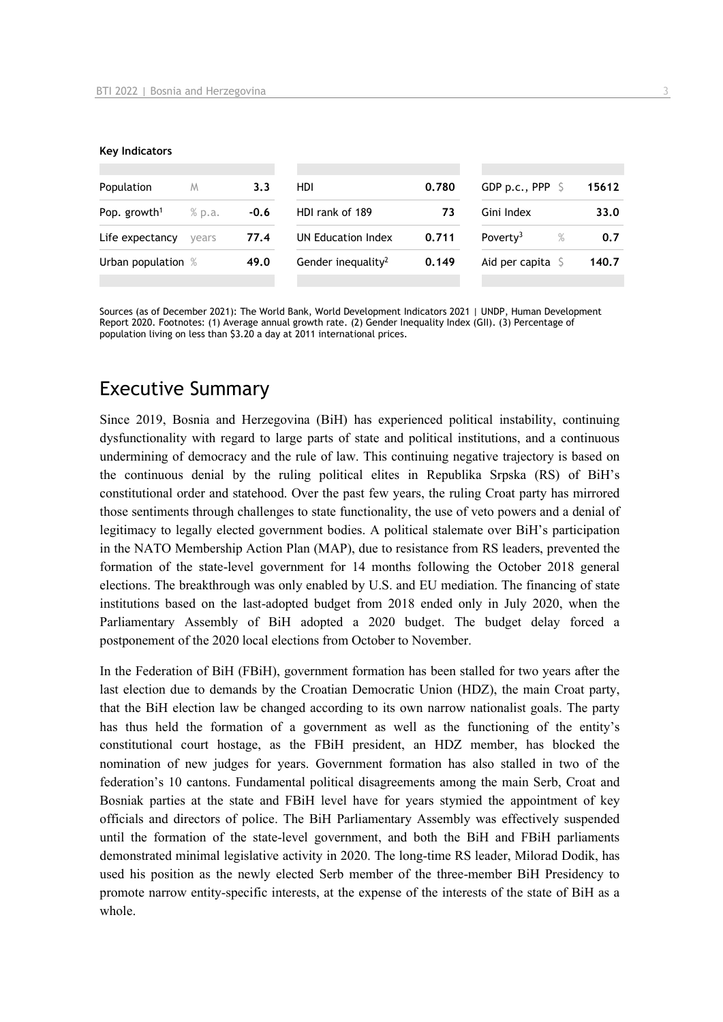#### **Key Indicators**

| Population               | M      | 3.3    | <b>HDI</b>                     | 0.780 | GDP p.c., PPP                | 15612 |
|--------------------------|--------|--------|--------------------------------|-------|------------------------------|-------|
| Pop. growth <sup>1</sup> | % p.a. | $-0.6$ | HDI rank of 189                | 73    | Gini Index                   | 33.0  |
| Life expectancy          | vears  | 77.4   | UN Education Index             | 0.711 | Poverty <sup>3</sup><br>$\%$ | 0.7   |
| Urban population %       |        | 49.0   | Gender inequality <sup>2</sup> | 0.149 | Aid per capita               | 140.7 |
|                          |        |        |                                |       |                              |       |

Sources (as of December 2021): The World Bank, World Development Indicators 2021 | UNDP, Human Development Report 2020. Footnotes: (1) Average annual growth rate. (2) Gender Inequality Index (GII). (3) Percentage of population living on less than \$3.20 a day at 2011 international prices.

## Executive Summary

Since 2019, Bosnia and Herzegovina (BiH) has experienced political instability, continuing dysfunctionality with regard to large parts of state and political institutions, and a continuous undermining of democracy and the rule of law. This continuing negative trajectory is based on the continuous denial by the ruling political elites in Republika Srpska (RS) of BiH's constitutional order and statehood. Over the past few years, the ruling Croat party has mirrored those sentiments through challenges to state functionality, the use of veto powers and a denial of legitimacy to legally elected government bodies. A political stalemate over BiH's participation in the NATO Membership Action Plan (MAP), due to resistance from RS leaders, prevented the formation of the state-level government for 14 months following the October 2018 general elections. The breakthrough was only enabled by U.S. and EU mediation. The financing of state institutions based on the last-adopted budget from 2018 ended only in July 2020, when the Parliamentary Assembly of BiH adopted a 2020 budget. The budget delay forced a postponement of the 2020 local elections from October to November.

In the Federation of BiH (FBiH), government formation has been stalled for two years after the last election due to demands by the Croatian Democratic Union (HDZ), the main Croat party, that the BiH election law be changed according to its own narrow nationalist goals. The party has thus held the formation of a government as well as the functioning of the entity's constitutional court hostage, as the FBiH president, an HDZ member, has blocked the nomination of new judges for years. Government formation has also stalled in two of the federation's 10 cantons. Fundamental political disagreements among the main Serb, Croat and Bosniak parties at the state and FBiH level have for years stymied the appointment of key officials and directors of police. The BiH Parliamentary Assembly was effectively suspended until the formation of the state-level government, and both the BiH and FBiH parliaments demonstrated minimal legislative activity in 2020. The long-time RS leader, Milorad Dodik, has used his position as the newly elected Serb member of the three-member BiH Presidency to promote narrow entity-specific interests, at the expense of the interests of the state of BiH as a whole.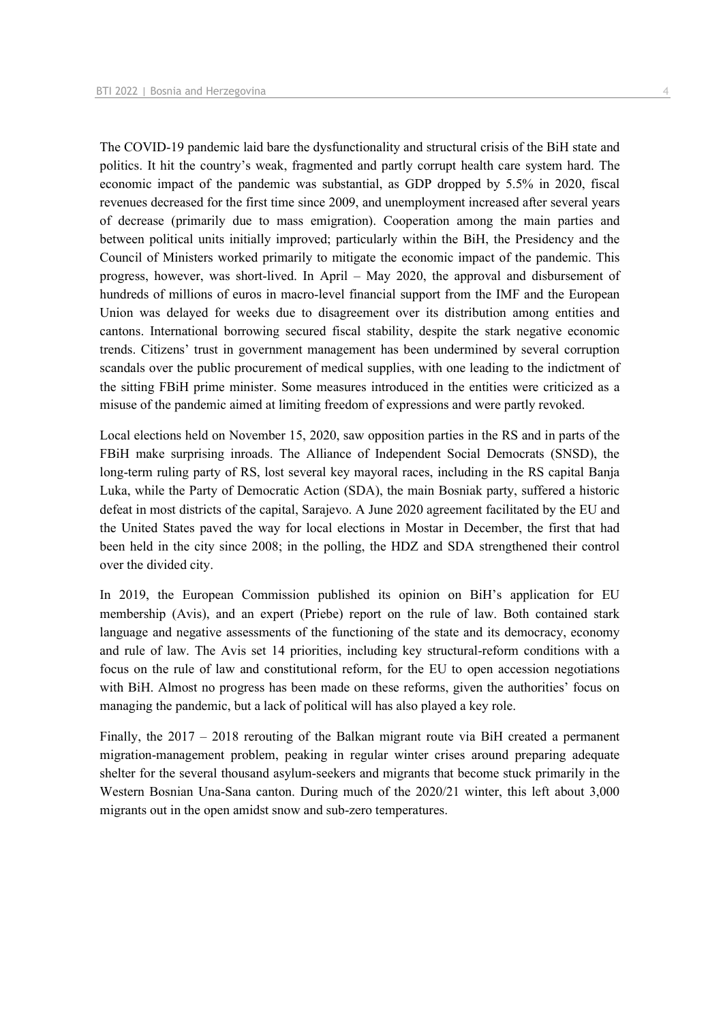The COVID-19 pandemic laid bare the dysfunctionality and structural crisis of the BiH state and politics. It hit the country's weak, fragmented and partly corrupt health care system hard. The economic impact of the pandemic was substantial, as GDP dropped by 5.5% in 2020, fiscal revenues decreased for the first time since 2009, and unemployment increased after several years of decrease (primarily due to mass emigration). Cooperation among the main parties and between political units initially improved; particularly within the BiH, the Presidency and the Council of Ministers worked primarily to mitigate the economic impact of the pandemic. This progress, however, was short-lived. In April – May 2020, the approval and disbursement of hundreds of millions of euros in macro-level financial support from the IMF and the European Union was delayed for weeks due to disagreement over its distribution among entities and cantons. International borrowing secured fiscal stability, despite the stark negative economic trends. Citizens' trust in government management has been undermined by several corruption scandals over the public procurement of medical supplies, with one leading to the indictment of the sitting FBiH prime minister. Some measures introduced in the entities were criticized as a misuse of the pandemic aimed at limiting freedom of expressions and were partly revoked.

Local elections held on November 15, 2020, saw opposition parties in the RS and in parts of the FBiH make surprising inroads. The Alliance of Independent Social Democrats (SNSD), the long-term ruling party of RS, lost several key mayoral races, including in the RS capital Banja Luka, while the Party of Democratic Action (SDA), the main Bosniak party, suffered a historic defeat in most districts of the capital, Sarajevo. A June 2020 agreement facilitated by the EU and the United States paved the way for local elections in Mostar in December, the first that had been held in the city since 2008; in the polling, the HDZ and SDA strengthened their control over the divided city.

In 2019, the European Commission published its opinion on BiH's application for EU membership (Avis), and an expert (Priebe) report on the rule of law. Both contained stark language and negative assessments of the functioning of the state and its democracy, economy and rule of law. The Avis set 14 priorities, including key structural-reform conditions with a focus on the rule of law and constitutional reform, for the EU to open accession negotiations with BiH. Almost no progress has been made on these reforms, given the authorities' focus on managing the pandemic, but a lack of political will has also played a key role.

Finally, the 2017 – 2018 rerouting of the Balkan migrant route via BiH created a permanent migration-management problem, peaking in regular winter crises around preparing adequate shelter for the several thousand asylum-seekers and migrants that become stuck primarily in the Western Bosnian Una-Sana canton. During much of the 2020/21 winter, this left about 3,000 migrants out in the open amidst snow and sub-zero temperatures.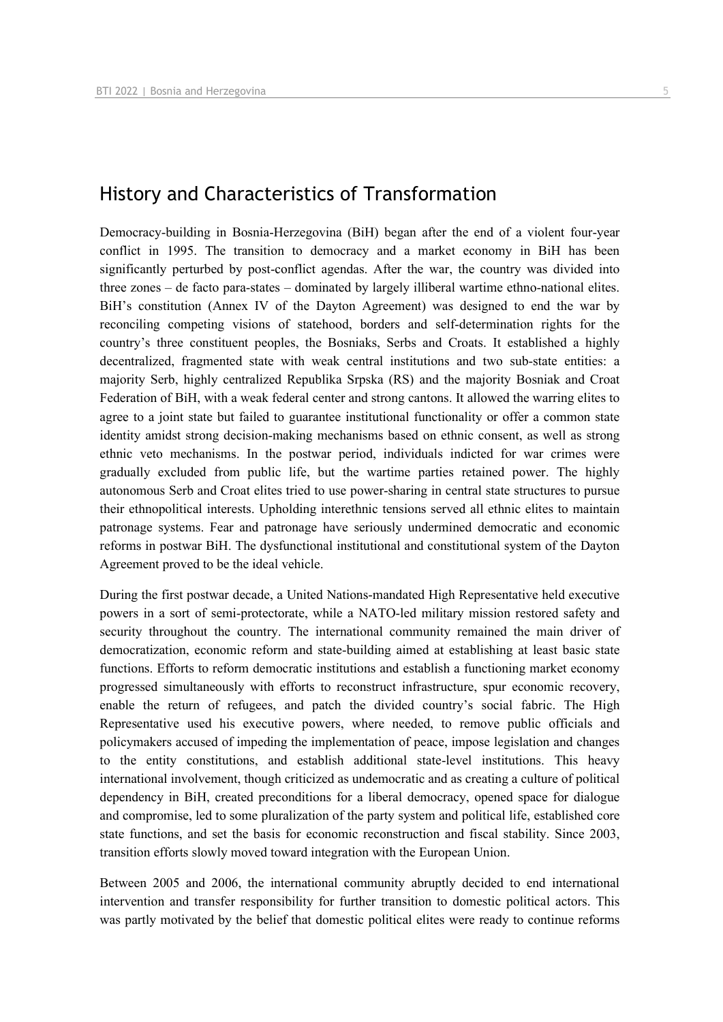## History and Characteristics of Transformation

Democracy-building in Bosnia-Herzegovina (BiH) began after the end of a violent four-year conflict in 1995. The transition to democracy and a market economy in BiH has been significantly perturbed by post-conflict agendas. After the war, the country was divided into three zones – de facto para-states – dominated by largely illiberal wartime ethno-national elites. BiH's constitution (Annex IV of the Dayton Agreement) was designed to end the war by reconciling competing visions of statehood, borders and self-determination rights for the country's three constituent peoples, the Bosniaks, Serbs and Croats. It established a highly decentralized, fragmented state with weak central institutions and two sub-state entities: a majority Serb, highly centralized Republika Srpska (RS) and the majority Bosniak and Croat Federation of BiH, with a weak federal center and strong cantons. It allowed the warring elites to agree to a joint state but failed to guarantee institutional functionality or offer a common state identity amidst strong decision-making mechanisms based on ethnic consent, as well as strong ethnic veto mechanisms. In the postwar period, individuals indicted for war crimes were gradually excluded from public life, but the wartime parties retained power. The highly autonomous Serb and Croat elites tried to use power-sharing in central state structures to pursue their ethnopolitical interests. Upholding interethnic tensions served all ethnic elites to maintain patronage systems. Fear and patronage have seriously undermined democratic and economic reforms in postwar BiH. The dysfunctional institutional and constitutional system of the Dayton Agreement proved to be the ideal vehicle.

During the first postwar decade, a United Nations-mandated High Representative held executive powers in a sort of semi-protectorate, while a NATO-led military mission restored safety and security throughout the country. The international community remained the main driver of democratization, economic reform and state-building aimed at establishing at least basic state functions. Efforts to reform democratic institutions and establish a functioning market economy progressed simultaneously with efforts to reconstruct infrastructure, spur economic recovery, enable the return of refugees, and patch the divided country's social fabric. The High Representative used his executive powers, where needed, to remove public officials and policymakers accused of impeding the implementation of peace, impose legislation and changes to the entity constitutions, and establish additional state-level institutions. This heavy international involvement, though criticized as undemocratic and as creating a culture of political dependency in BiH, created preconditions for a liberal democracy, opened space for dialogue and compromise, led to some pluralization of the party system and political life, established core state functions, and set the basis for economic reconstruction and fiscal stability. Since 2003, transition efforts slowly moved toward integration with the European Union.

Between 2005 and 2006, the international community abruptly decided to end international intervention and transfer responsibility for further transition to domestic political actors. This was partly motivated by the belief that domestic political elites were ready to continue reforms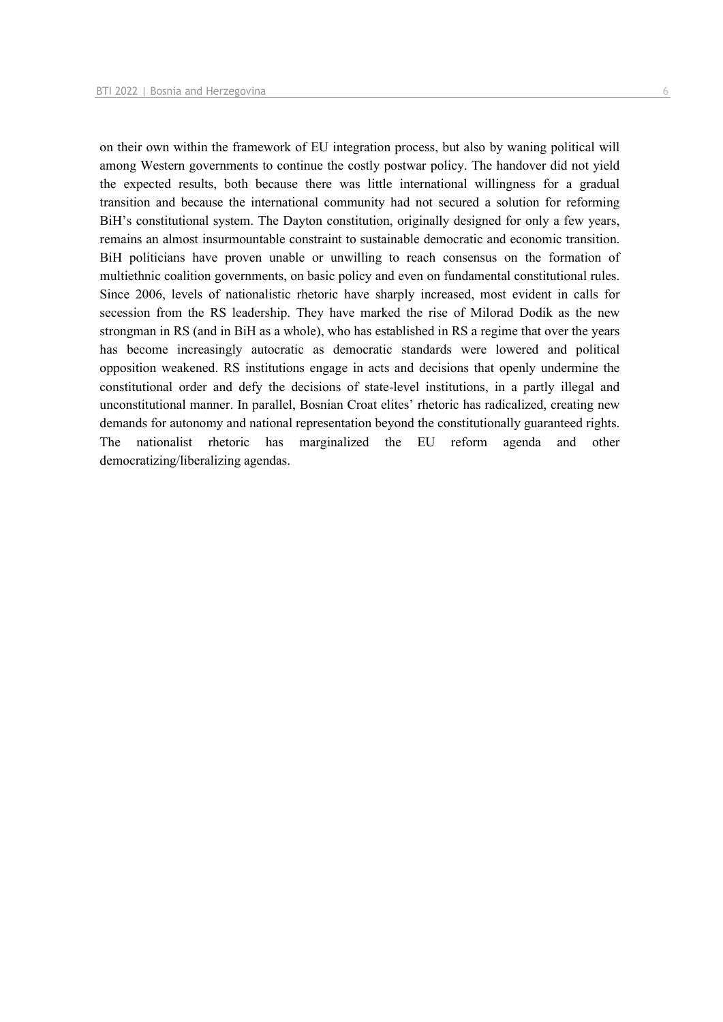democratizing/liberalizing agendas.

on their own within the framework of EU integration process, but also by waning political will among Western governments to continue the costly postwar policy. The handover did not yield the expected results, both because there was little international willingness for a gradual transition and because the international community had not secured a solution for reforming BiH's constitutional system. The Dayton constitution, originally designed for only a few years, remains an almost insurmountable constraint to sustainable democratic and economic transition. BiH politicians have proven unable or unwilling to reach consensus on the formation of multiethnic coalition governments, on basic policy and even on fundamental constitutional rules. Since 2006, levels of nationalistic rhetoric have sharply increased, most evident in calls for secession from the RS leadership. They have marked the rise of Milorad Dodik as the new strongman in RS (and in BiH as a whole), who has established in RS a regime that over the years has become increasingly autocratic as democratic standards were lowered and political opposition weakened. RS institutions engage in acts and decisions that openly undermine the constitutional order and defy the decisions of state-level institutions, in a partly illegal and unconstitutional manner. In parallel, Bosnian Croat elites' rhetoric has radicalized, creating new demands for autonomy and national representation beyond the constitutionally guaranteed rights. The nationalist rhetoric has marginalized the EU reform agenda and other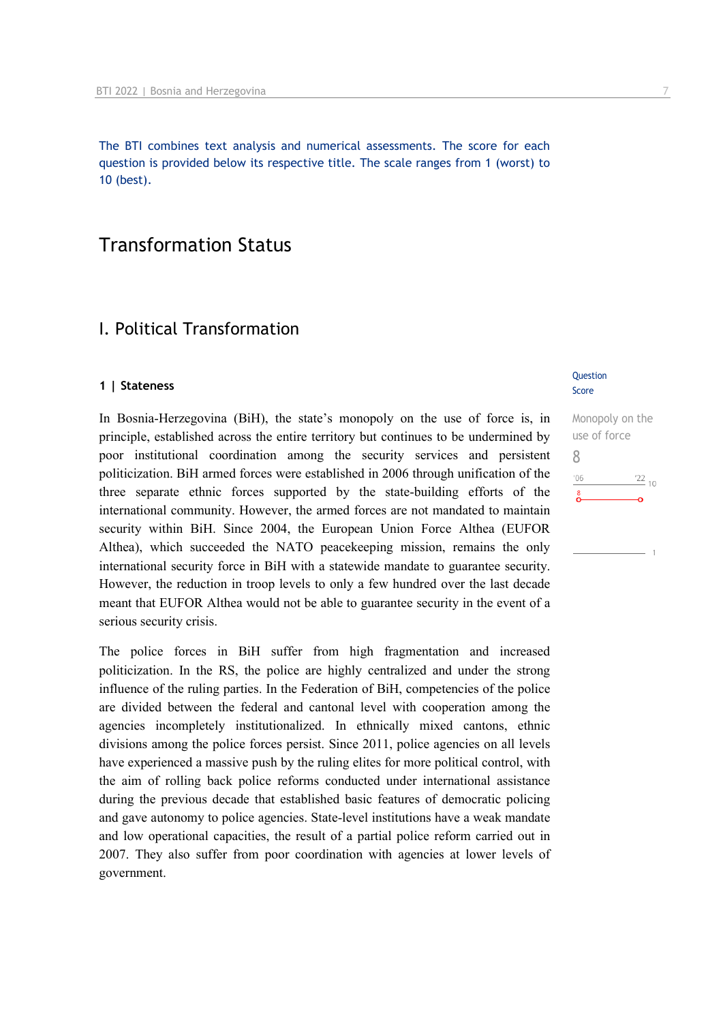The BTI combines text analysis and numerical assessments. The score for each question is provided below its respective title. The scale ranges from 1 (worst) to 10 (best).

## Transformation Status

## I. Political Transformation

#### **1 | Stateness**

In Bosnia-Herzegovina (BiH), the state's monopoly on the use of force is, in principle, established across the entire territory but continues to be undermined by poor institutional coordination among the security services and persistent politicization. BiH armed forces were established in 2006 through unification of the three separate ethnic forces supported by the state-building efforts of the international community. However, the armed forces are not mandated to maintain security within BiH. Since 2004, the European Union Force Althea (EUFOR Althea), which succeeded the NATO peacekeeping mission, remains the only international security force in BiH with a statewide mandate to guarantee security. However, the reduction in troop levels to only a few hundred over the last decade meant that EUFOR Althea would not be able to guarantee security in the event of a serious security crisis.

The police forces in BiH suffer from high fragmentation and increased politicization. In the RS, the police are highly centralized and under the strong influence of the ruling parties. In the Federation of BiH, competencies of the police are divided between the federal and cantonal level with cooperation among the agencies incompletely institutionalized. In ethnically mixed cantons, ethnic divisions among the police forces persist. Since 2011, police agencies on all levels have experienced a massive push by the ruling elites for more political control, with the aim of rolling back police reforms conducted under international assistance during the previous decade that established basic features of democratic policing and gave autonomy to police agencies. State-level institutions have a weak mandate and low operational capacities, the result of a partial police reform carried out in 2007. They also suffer from poor coordination with agencies at lower levels of government.

#### **Question** Score

Monopoly on the use of force 8 $\frac{22}{10}$  $106$  $\sum_{i=1}^{8}$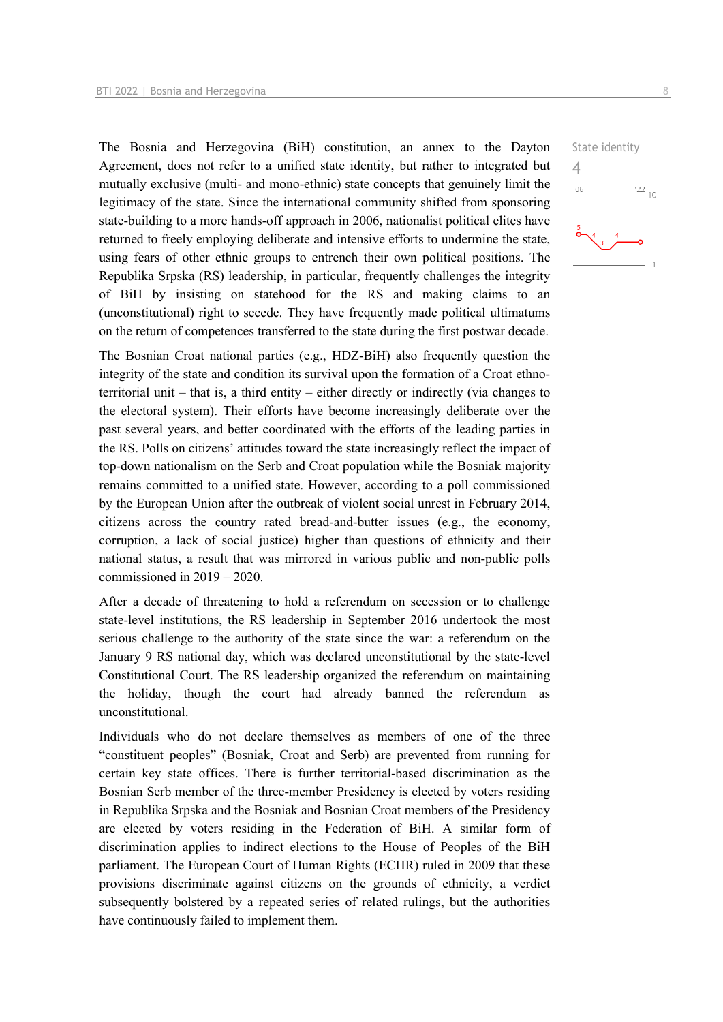The Bosnia and Herzegovina (BiH) constitution, an annex to the Dayton Agreement, does not refer to a unified state identity, but rather to integrated but mutually exclusive (multi- and mono-ethnic) state concepts that genuinely limit the legitimacy of the state. Since the international community shifted from sponsoring state-building to a more hands-off approach in 2006, nationalist political elites have returned to freely employing deliberate and intensive efforts to undermine the state, using fears of other ethnic groups to entrench their own political positions. The Republika Srpska (RS) leadership, in particular, frequently challenges the integrity of BiH by insisting on statehood for the RS and making claims to an (unconstitutional) right to secede. They have frequently made political ultimatums on the return of competences transferred to the state during the first postwar decade.

The Bosnian Croat national parties (e.g., HDZ-BiH) also frequently question the integrity of the state and condition its survival upon the formation of a Croat ethnoterritorial unit – that is, a third entity – either directly or indirectly (via changes to the electoral system). Their efforts have become increasingly deliberate over the past several years, and better coordinated with the efforts of the leading parties in the RS. Polls on citizens' attitudes toward the state increasingly reflect the impact of top-down nationalism on the Serb and Croat population while the Bosniak majority remains committed to a unified state. However, according to a poll commissioned by the European Union after the outbreak of violent social unrest in February 2014, citizens across the country rated bread-and-butter issues (e.g., the economy, corruption, a lack of social justice) higher than questions of ethnicity and their national status, a result that was mirrored in various public and non-public polls commissioned in 2019 – 2020.

After a decade of threatening to hold a referendum on secession or to challenge state-level institutions, the RS leadership in September 2016 undertook the most serious challenge to the authority of the state since the war: a referendum on the January 9 RS national day, which was declared unconstitutional by the state-level Constitutional Court. The RS leadership organized the referendum on maintaining the holiday, though the court had already banned the referendum as unconstitutional.

Individuals who do not declare themselves as members of one of the three "constituent peoples" (Bosniak, Croat and Serb) are prevented from running for certain key state offices. There is further territorial-based discrimination as the Bosnian Serb member of the three-member Presidency is elected by voters residing in Republika Srpska and the Bosniak and Bosnian Croat members of the Presidency are elected by voters residing in the Federation of BiH. A similar form of discrimination applies to indirect elections to the House of Peoples of the BiH parliament. The European Court of Human Rights (ECHR) ruled in 2009 that these provisions discriminate against citizens on the grounds of ethnicity, a verdict subsequently bolstered by a repeated series of related rulings, but the authorities have continuously failed to implement them.

 $\frac{22}{10}$ 

State identity

4 $06'$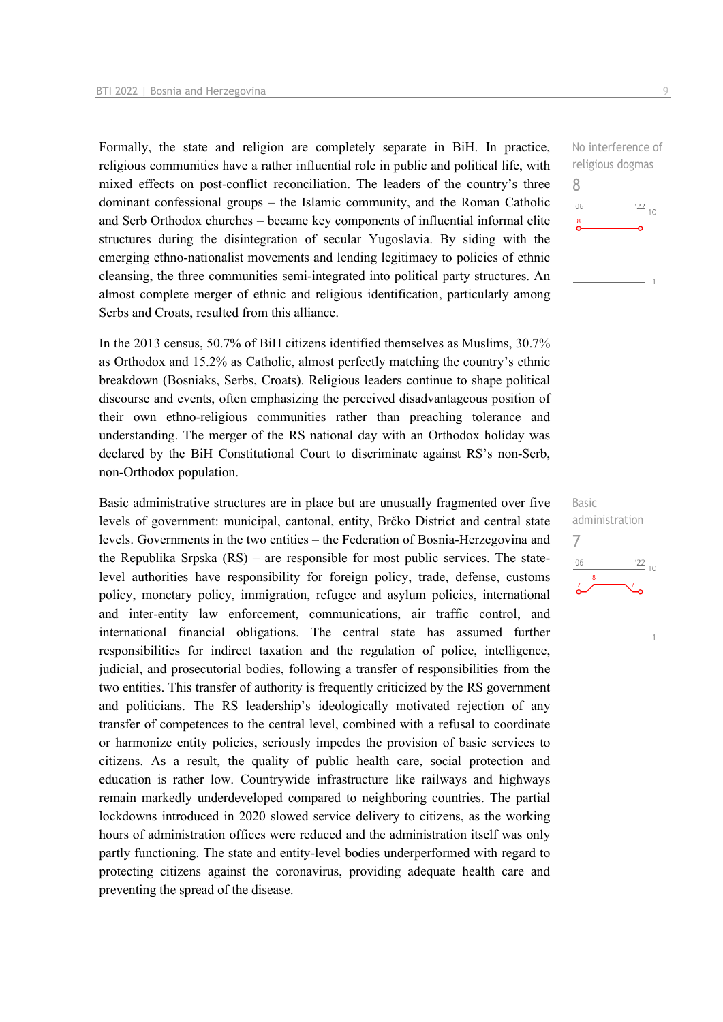Formally, the state and religion are completely separate in BiH. In practice, religious communities have a rather influential role in public and political life, with mixed effects on post-conflict reconciliation. The leaders of the country's three dominant confessional groups – the Islamic community, and the Roman Catholic and Serb Orthodox churches – became key components of influential informal elite structures during the disintegration of secular Yugoslavia. By siding with the emerging ethno-nationalist movements and lending legitimacy to policies of ethnic cleansing, the three communities semi-integrated into political party structures. An almost complete merger of ethnic and religious identification, particularly among Serbs and Croats, resulted from this alliance.

In the 2013 census, 50.7% of BiH citizens identified themselves as Muslims, 30.7% as Orthodox and 15.2% as Catholic, almost perfectly matching the country's ethnic breakdown (Bosniaks, Serbs, Croats). Religious leaders continue to shape political discourse and events, often emphasizing the perceived disadvantageous position of their own ethno-religious communities rather than preaching tolerance and understanding. The merger of the RS national day with an Orthodox holiday was declared by the BiH Constitutional Court to discriminate against RS's non-Serb, non-Orthodox population.

Basic administrative structures are in place but are unusually fragmented over five levels of government: municipal, cantonal, entity, Brčko District and central state levels. Governments in the two entities – the Federation of Bosnia-Herzegovina and the Republika Srpska (RS) – are responsible for most public services. The statelevel authorities have responsibility for foreign policy, trade, defense, customs policy, monetary policy, immigration, refugee and asylum policies, international and inter-entity law enforcement, communications, air traffic control, and international financial obligations. The central state has assumed further responsibilities for indirect taxation and the regulation of police, intelligence, judicial, and prosecutorial bodies, following a transfer of responsibilities from the two entities. This transfer of authority is frequently criticized by the RS government and politicians. The RS leadership's ideologically motivated rejection of any transfer of competences to the central level, combined with a refusal to coordinate or harmonize entity policies, seriously impedes the provision of basic services to citizens. As a result, the quality of public health care, social protection and education is rather low. Countrywide infrastructure like railways and highways remain markedly underdeveloped compared to neighboring countries. The partial lockdowns introduced in 2020 slowed service delivery to citizens, as the working hours of administration offices were reduced and the administration itself was only partly functioning. The state and entity-level bodies underperformed with regard to protecting citizens against the coronavirus, providing adequate health care and preventing the spread of the disease.

No interference of religious dogmas 8  $-06$  $\frac{22}{10}$  $\sum_{i=1}^{8}$ 

Basic administration 7 $\frac{22}{10}$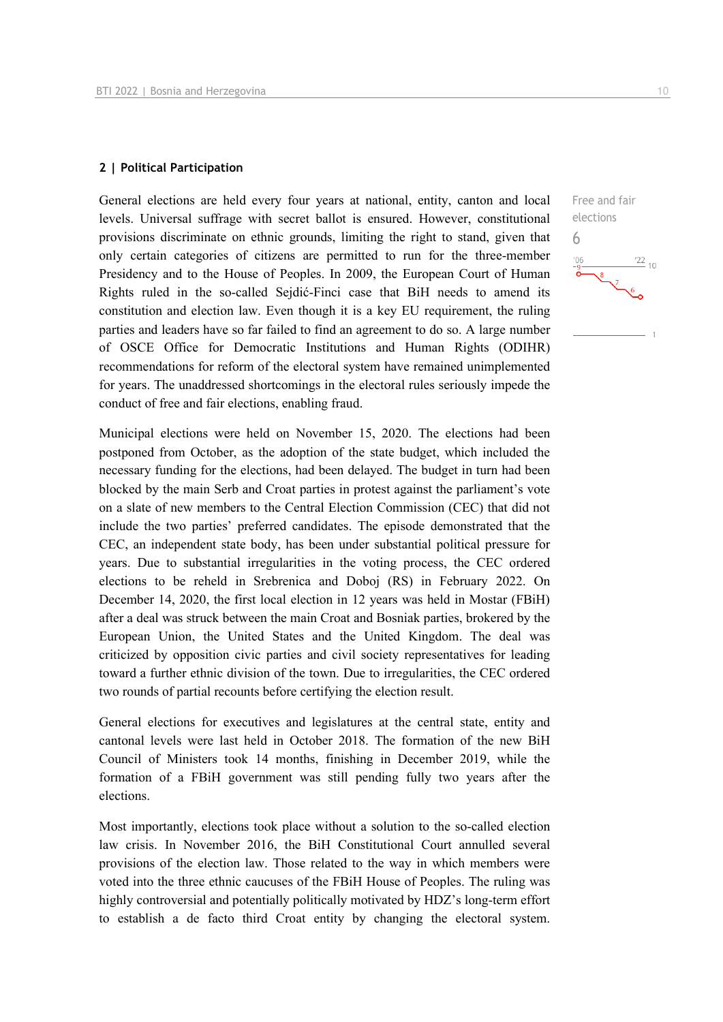#### **2 | Political Participation**

General elections are held every four years at national, entity, canton and local levels. Universal suffrage with secret ballot is ensured. However, constitutional provisions discriminate on ethnic grounds, limiting the right to stand, given that only certain categories of citizens are permitted to run for the three-member Presidency and to the House of Peoples. In 2009, the European Court of Human Rights ruled in the so-called Sejdić-Finci case that BiH needs to amend its constitution and election law. Even though it is a key EU requirement, the ruling parties and leaders have so far failed to find an agreement to do so. A large number of OSCE Office for Democratic Institutions and Human Rights (ODIHR) recommendations for reform of the electoral system have remained unimplemented for years. The unaddressed shortcomings in the electoral rules seriously impede the conduct of free and fair elections, enabling fraud.

Municipal elections were held on November 15, 2020. The elections had been postponed from October, as the adoption of the state budget, which included the necessary funding for the elections, had been delayed. The budget in turn had been blocked by the main Serb and Croat parties in protest against the parliament's vote on a slate of new members to the Central Election Commission (CEC) that did not include the two parties' preferred candidates. The episode demonstrated that the CEC, an independent state body, has been under substantial political pressure for years. Due to substantial irregularities in the voting process, the CEC ordered elections to be reheld in Srebrenica and Doboj (RS) in February 2022. On December 14, 2020, the first local election in 12 years was held in Mostar (FBiH) after a deal was struck between the main Croat and Bosniak parties, brokered by the European Union, the United States and the United Kingdom. The deal was criticized by opposition civic parties and civil society representatives for leading toward a further ethnic division of the town. Due to irregularities, the CEC ordered two rounds of partial recounts before certifying the election result.

General elections for executives and legislatures at the central state, entity and cantonal levels were last held in October 2018. The formation of the new BiH Council of Ministers took 14 months, finishing in December 2019, while the formation of a FBiH government was still pending fully two years after the elections.

Most importantly, elections took place without a solution to the so-called election law crisis. In November 2016, the BiH Constitutional Court annulled several provisions of the election law. Those related to the way in which members were voted into the three ethnic caucuses of the FBiH House of Peoples. The ruling was highly controversial and potentially politically motivated by HDZ's long-term effort to establish a de facto third Croat entity by changing the electoral system.

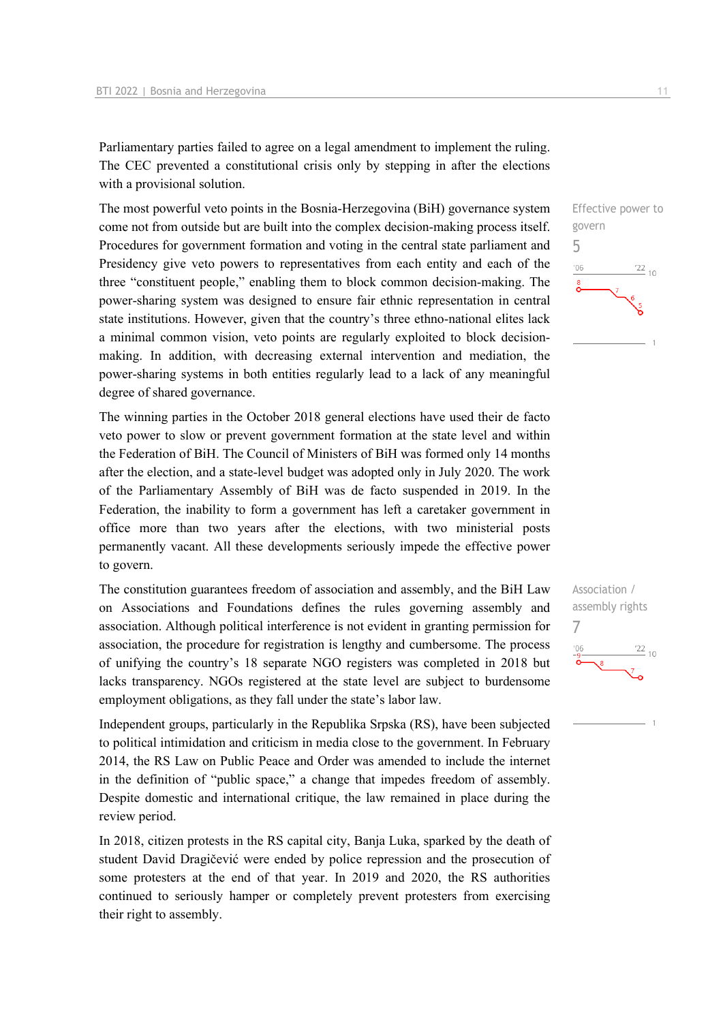Parliamentary parties failed to agree on a legal amendment to implement the ruling. The CEC prevented a constitutional crisis only by stepping in after the elections with a provisional solution.

The most powerful veto points in the Bosnia-Herzegovina (BiH) governance system come not from outside but are built into the complex decision-making process itself. Procedures for government formation and voting in the central state parliament and Presidency give veto powers to representatives from each entity and each of the three "constituent people," enabling them to block common decision-making. The power-sharing system was designed to ensure fair ethnic representation in central state institutions. However, given that the country's three ethno-national elites lack a minimal common vision, veto points are regularly exploited to block decisionmaking. In addition, with decreasing external intervention and mediation, the power-sharing systems in both entities regularly lead to a lack of any meaningful degree of shared governance.

The winning parties in the October 2018 general elections have used their de facto veto power to slow or prevent government formation at the state level and within the Federation of BiH. The Council of Ministers of BiH was formed only 14 months after the election, and a state-level budget was adopted only in July 2020. The work of the Parliamentary Assembly of BiH was de facto suspended in 2019. In the Federation, the inability to form a government has left a caretaker government in office more than two years after the elections, with two ministerial posts permanently vacant. All these developments seriously impede the effective power to govern.

The constitution guarantees freedom of association and assembly, and the BiH Law on Associations and Foundations defines the rules governing assembly and association. Although political interference is not evident in granting permission for association, the procedure for registration is lengthy and cumbersome. The process of unifying the country's 18 separate NGO registers was completed in 2018 but lacks transparency. NGOs registered at the state level are subject to burdensome employment obligations, as they fall under the state's labor law.

Independent groups, particularly in the Republika Srpska (RS), have been subjected to political intimidation and criticism in media close to the government. In February 2014, the RS Law on Public Peace and Order was amended to include the internet in the definition of "public space," a change that impedes freedom of assembly. Despite domestic and international critique, the law remained in place during the review period.

In 2018, citizen protests in the RS capital city, Banja Luka, sparked by the death of student David Dragičević were ended by police repression and the prosecution of some protesters at the end of that year. In 2019 and 2020, the RS authorities continued to seriously hamper or completely prevent protesters from exercising their right to assembly.



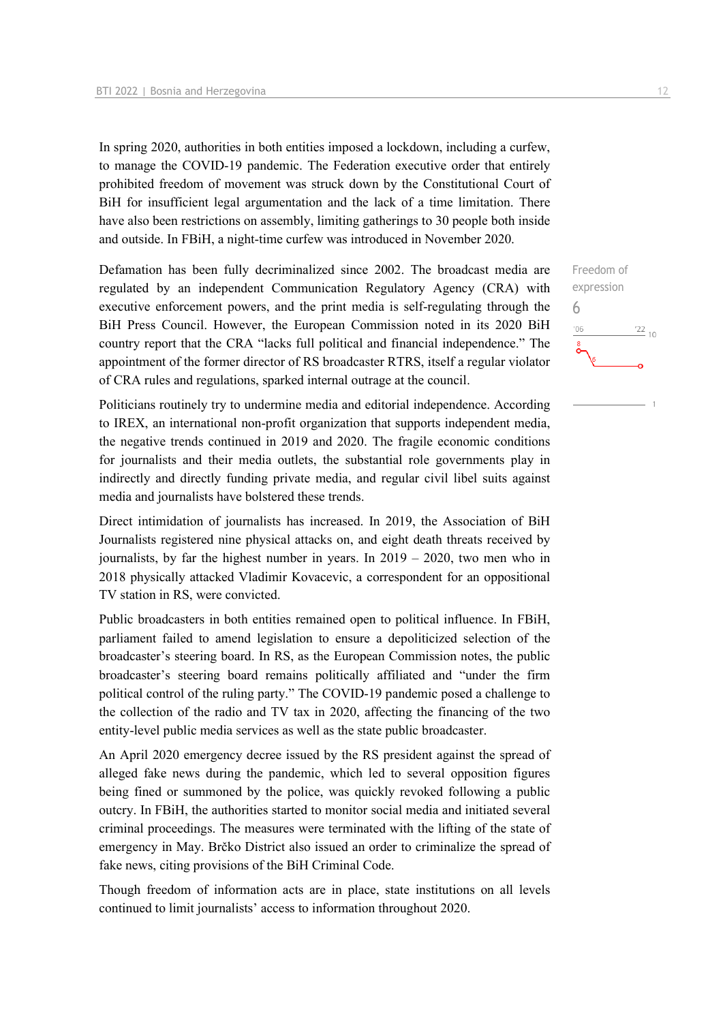In spring 2020, authorities in both entities imposed a lockdown, including a curfew, to manage the COVID-19 pandemic. The Federation executive order that entirely prohibited freedom of movement was struck down by the Constitutional Court of BiH for insufficient legal argumentation and the lack of a time limitation. There have also been restrictions on assembly, limiting gatherings to 30 people both inside and outside. In FBiH, a night-time curfew was introduced in November 2020.

Defamation has been fully decriminalized since 2002. The broadcast media are regulated by an independent Communication Regulatory Agency (CRA) with executive enforcement powers, and the print media is self-regulating through the BiH Press Council. However, the European Commission noted in its 2020 BiH country report that the CRA "lacks full political and financial independence." The appointment of the former director of RS broadcaster RTRS, itself a regular violator of CRA rules and regulations, sparked internal outrage at the council.

Politicians routinely try to undermine media and editorial independence. According to IREX, an international non-profit organization that supports independent media, the negative trends continued in 2019 and 2020. The fragile economic conditions for journalists and their media outlets, the substantial role governments play in indirectly and directly funding private media, and regular civil libel suits against media and journalists have bolstered these trends.

Direct intimidation of journalists has increased. In 2019, the Association of BiH Journalists registered nine physical attacks on, and eight death threats received by journalists, by far the highest number in years. In 2019 – 2020, two men who in 2018 physically attacked Vladimir Kovacevic, a correspondent for an oppositional TV station in RS, were convicted.

Public broadcasters in both entities remained open to political influence. In FBiH, parliament failed to amend legislation to ensure a depoliticized selection of the broadcaster's steering board. In RS, as the European Commission notes, the public broadcaster's steering board remains politically affiliated and "under the firm political control of the ruling party." The COVID-19 pandemic posed a challenge to the collection of the radio and TV tax in 2020, affecting the financing of the two entity-level public media services as well as the state public broadcaster.

An April 2020 emergency decree issued by the RS president against the spread of alleged fake news during the pandemic, which led to several opposition figures being fined or summoned by the police, was quickly revoked following a public outcry. In FBiH, the authorities started to monitor social media and initiated several criminal proceedings. The measures were terminated with the lifting of the state of emergency in May. Brčko District also issued an order to criminalize the spread of fake news, citing provisions of the BiH Criminal Code.

Though freedom of information acts are in place, state institutions on all levels continued to limit journalists' access to information throughout 2020.

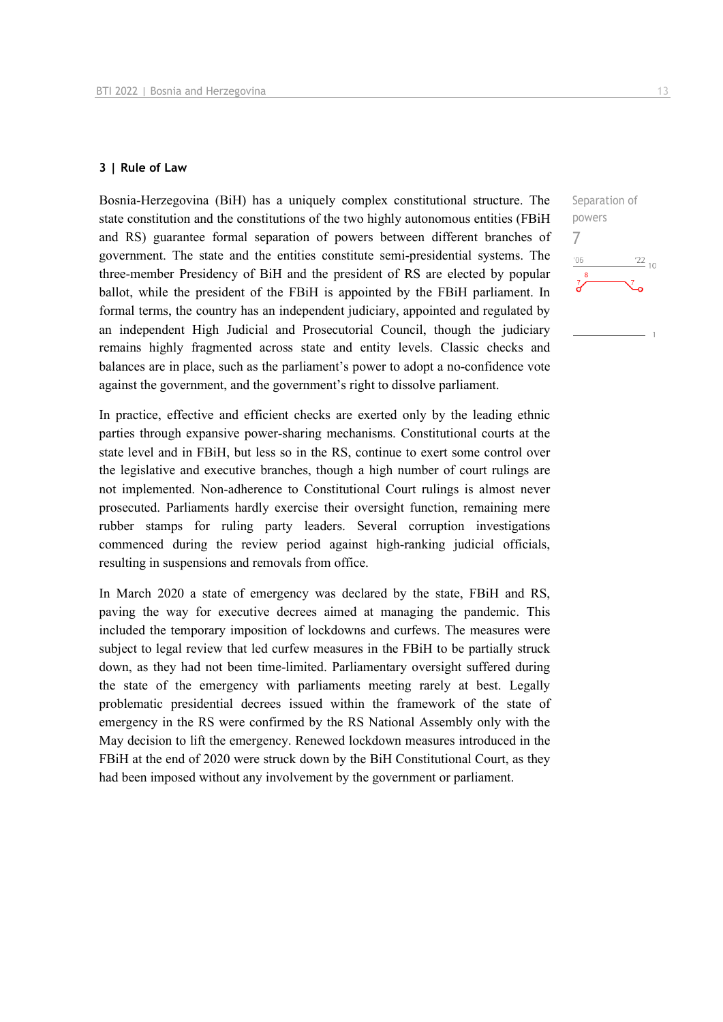#### **3 | Rule of Law**

Bosnia-Herzegovina (BiH) has a uniquely complex constitutional structure. The state constitution and the constitutions of the two highly autonomous entities (FBiH and RS) guarantee formal separation of powers between different branches of government. The state and the entities constitute semi-presidential systems. The three-member Presidency of BiH and the president of RS are elected by popular ballot, while the president of the FBiH is appointed by the FBiH parliament. In formal terms, the country has an independent judiciary, appointed and regulated by an independent High Judicial and Prosecutorial Council, though the judiciary remains highly fragmented across state and entity levels. Classic checks and balances are in place, such as the parliament's power to adopt a no-confidence vote against the government, and the government's right to dissolve parliament.

In practice, effective and efficient checks are exerted only by the leading ethnic parties through expansive power-sharing mechanisms. Constitutional courts at the state level and in FBiH, but less so in the RS, continue to exert some control over the legislative and executive branches, though a high number of court rulings are not implemented. Non-adherence to Constitutional Court rulings is almost never prosecuted. Parliaments hardly exercise their oversight function, remaining mere rubber stamps for ruling party leaders. Several corruption investigations commenced during the review period against high-ranking judicial officials, resulting in suspensions and removals from office.

In March 2020 a state of emergency was declared by the state, FBiH and RS, paving the way for executive decrees aimed at managing the pandemic. This included the temporary imposition of lockdowns and curfews. The measures were subject to legal review that led curfew measures in the FBiH to be partially struck down, as they had not been time-limited. Parliamentary oversight suffered during the state of the emergency with parliaments meeting rarely at best. Legally problematic presidential decrees issued within the framework of the state of emergency in the RS were confirmed by the RS National Assembly only with the May decision to lift the emergency. Renewed lockdown measures introduced in the FBiH at the end of 2020 were struck down by the BiH Constitutional Court, as they had been imposed without any involvement by the government or parliament.

Separation of powers 7 $\frac{22}{10}$  $-06$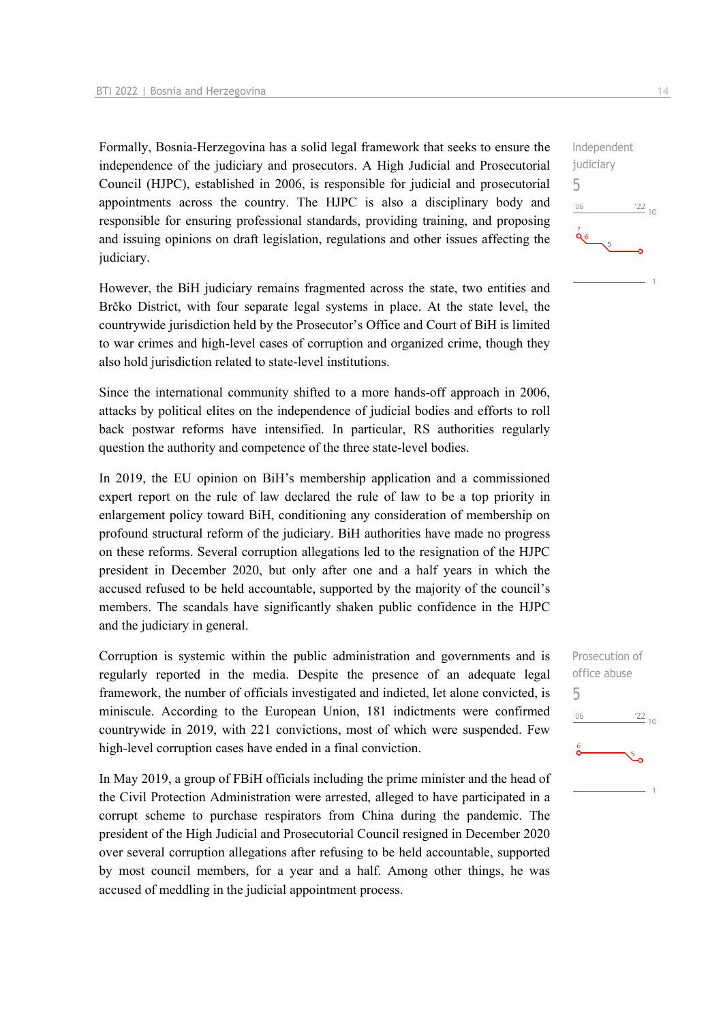Formally, Bosnia-Herzegovina has a solid legal framework that seeks to ensure the independence of the judiciary and prosecutors. A High Judicial and Prosecutorial Council (HJPC), established in 2006, is responsible for judicial and prosecutorial appointments across the country. The HJPC is also a disciplinary body and responsible for ensuring professional standards, providing training, and proposing and issuing opinions on draft legislation, regulations and other issues affecting the judiciary.

However, the BiH judiciary remains fragmented across the state, two entities and Brčko District, with four separate legal systems in place. At the state level, the countrywide jurisdiction held by the Prosecutor's Office and Court of BiH is limited to war crimes and high-level cases of corruption and organized crime, though they also hold jurisdiction related to state-level institutions.

Since the international community shifted to a more hands-off approach in 2006, attacks by political elites on the independence of judicial bodies and efforts to roll back postwar reforms have intensified. In particular, RS authorities regularly question the authority and competence of the three state-level bodies.

In 2019, the EU opinion on BiH's membership application and a commissioned expert report on the rule of law declared the rule of law to be a top priority in enlargement policy toward BiH, conditioning any consideration of membership on profound structural reform of the judiciary. BiH authorities have made no progress on these reforms. Several corruption allegations led to the resignation of the HJPC president in December 2020, but only after one and a half years in which the accused refused to be held accountable, supported by the majority of the council's members. The scandals have significantly shaken public confidence in the HJPC and the judiciary in general.

Corruption is systemic within the public administration and governments and is regularly reported in the media. Despite the presence of an adequate legal framework, the number of officials investigated and indicted, let alone convicted, is miniscule. According to the European Union, 181 indictments were confirmed countrywide in 2019, with 221 convictions, most of which were suspended. Few high-level corruption cases have ended in a final conviction.

In May 2019, a group of FBiH officials including the prime minister and the head of the Civil Protection Administration were arrested, alleged to have participated in a corrupt scheme to purchase respirators from China during the pandemic. The president of the High Judicial and Prosecutorial Council resigned in December 2020 over several corruption allegations after refusing to be held accountable, supported by most council members, for a year and a half. Among other things, he was accused of meddling in the judicial appointment process.

Prosecution of office abuse 5 $06'$  $\frac{22}{10}$ 

Independent judiciary 5  $-06$  $\frac{22}{10}$ άσ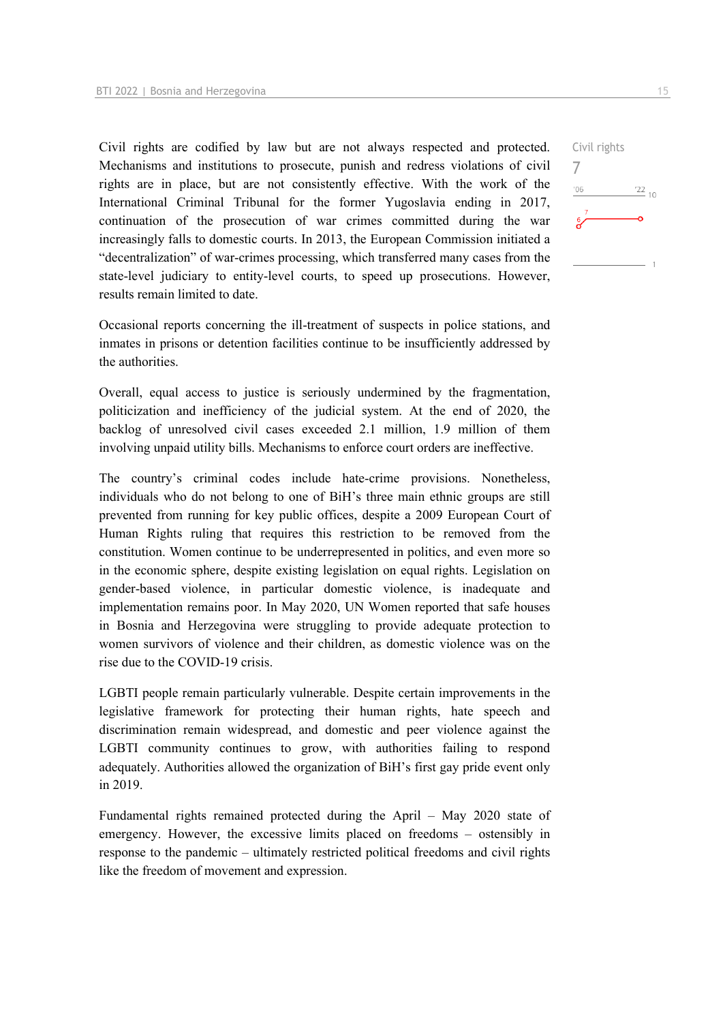Civil rights are codified by law but are not always respected and protected. Mechanisms and institutions to prosecute, punish and redress violations of civil rights are in place, but are not consistently effective. With the work of the International Criminal Tribunal for the former Yugoslavia ending in 2017, continuation of the prosecution of war crimes committed during the war increasingly falls to domestic courts. In 2013, the European Commission initiated a "decentralization" of war-crimes processing, which transferred many cases from the state-level judiciary to entity-level courts, to speed up prosecutions. However, results remain limited to date.

Occasional reports concerning the ill-treatment of suspects in police stations, and inmates in prisons or detention facilities continue to be insufficiently addressed by the authorities.

Overall, equal access to justice is seriously undermined by the fragmentation, politicization and inefficiency of the judicial system. At the end of 2020, the backlog of unresolved civil cases exceeded 2.1 million, 1.9 million of them involving unpaid utility bills. Mechanisms to enforce court orders are ineffective.

The country's criminal codes include hate-crime provisions. Nonetheless, individuals who do not belong to one of BiH's three main ethnic groups are still prevented from running for key public offices, despite a 2009 European Court of Human Rights ruling that requires this restriction to be removed from the constitution. Women continue to be underrepresented in politics, and even more so in the economic sphere, despite existing legislation on equal rights. Legislation on gender-based violence, in particular domestic violence, is inadequate and implementation remains poor. In May 2020, UN Women reported that safe houses in Bosnia and Herzegovina were struggling to provide adequate protection to women survivors of violence and their children, as domestic violence was on the rise due to the COVID-19 crisis.

LGBTI people remain particularly vulnerable. Despite certain improvements in the legislative framework for protecting their human rights, hate speech and discrimination remain widespread, and domestic and peer violence against the LGBTI community continues to grow, with authorities failing to respond adequately. Authorities allowed the organization of BiH's first gay pride event only in 2019.

Fundamental rights remained protected during the April – May 2020 state of emergency. However, the excessive limits placed on freedoms – ostensibly in response to the pandemic – ultimately restricted political freedoms and civil rights like the freedom of movement and expression.

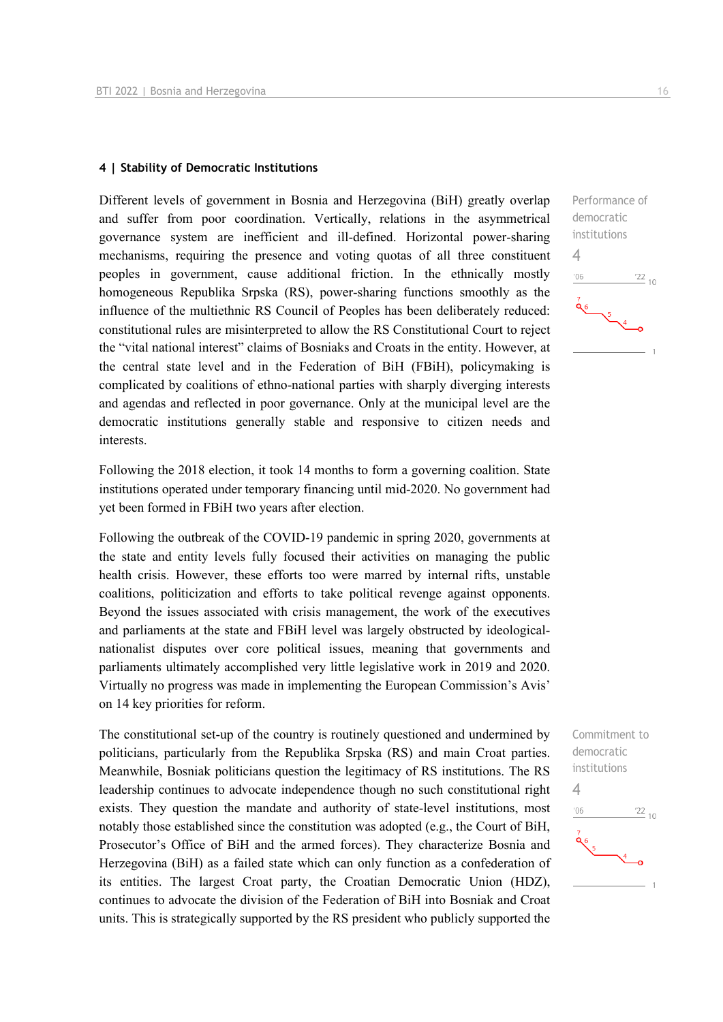#### **4 | Stability of Democratic Institutions**

Different levels of government in Bosnia and Herzegovina (BiH) greatly overlap and suffer from poor coordination. Vertically, relations in the asymmetrical governance system are inefficient and ill-defined. Horizontal power-sharing mechanisms, requiring the presence and voting quotas of all three constituent peoples in government, cause additional friction. In the ethnically mostly homogeneous Republika Srpska (RS), power-sharing functions smoothly as the influence of the multiethnic RS Council of Peoples has been deliberately reduced: constitutional rules are misinterpreted to allow the RS Constitutional Court to reject the "vital national interest" claims of Bosniaks and Croats in the entity. However, at the central state level and in the Federation of BiH (FBiH), policymaking is complicated by coalitions of ethno-national parties with sharply diverging interests and agendas and reflected in poor governance. Only at the municipal level are the democratic institutions generally stable and responsive to citizen needs and interests.

Following the 2018 election, it took 14 months to form a governing coalition. State institutions operated under temporary financing until mid-2020. No government had yet been formed in FBiH two years after election.

Following the outbreak of the COVID-19 pandemic in spring 2020, governments at the state and entity levels fully focused their activities on managing the public health crisis. However, these efforts too were marred by internal rifts, unstable coalitions, politicization and efforts to take political revenge against opponents. Beyond the issues associated with crisis management, the work of the executives and parliaments at the state and FBiH level was largely obstructed by ideologicalnationalist disputes over core political issues, meaning that governments and parliaments ultimately accomplished very little legislative work in 2019 and 2020. Virtually no progress was made in implementing the European Commission's Avis' on 14 key priorities for reform.

The constitutional set-up of the country is routinely questioned and undermined by politicians, particularly from the Republika Srpska (RS) and main Croat parties. Meanwhile, Bosniak politicians question the legitimacy of RS institutions. The RS leadership continues to advocate independence though no such constitutional right exists. They question the mandate and authority of state-level institutions, most notably those established since the constitution was adopted (e.g., the Court of BiH, Prosecutor's Office of BiH and the armed forces). They characterize Bosnia and Herzegovina (BiH) as a failed state which can only function as a confederation of its entities. The largest Croat party, the Croatian Democratic Union (HDZ), continues to advocate the division of the Federation of BiH into Bosniak and Croat units. This is strategically supported by the RS president who publicly supported the



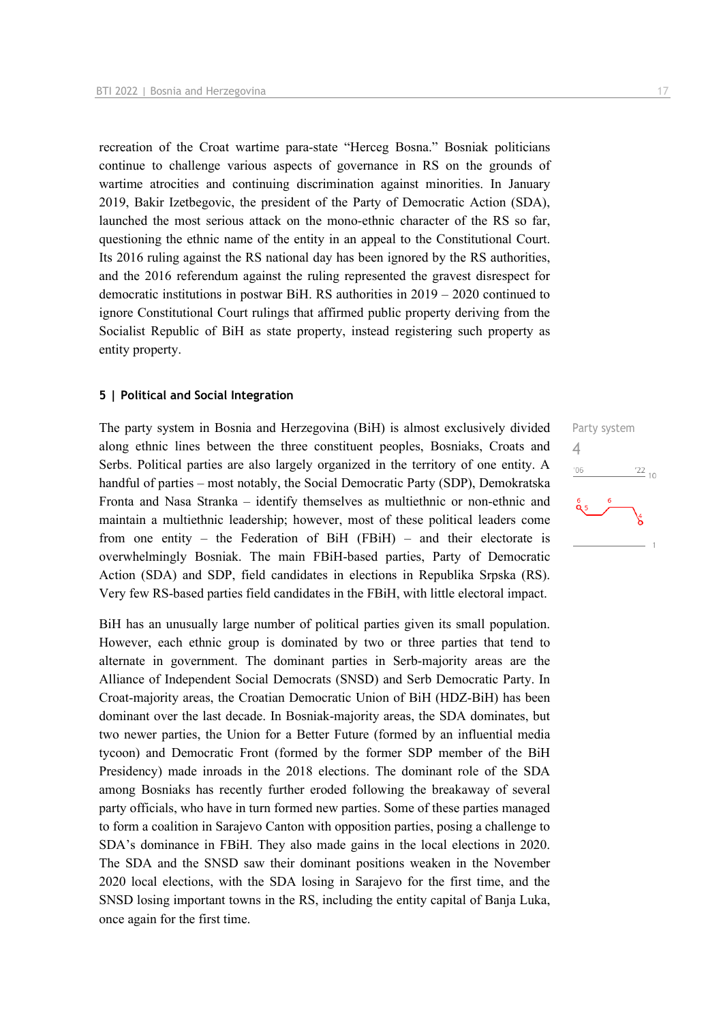recreation of the Croat wartime para-state "Herceg Bosna." Bosniak politicians continue to challenge various aspects of governance in RS on the grounds of wartime atrocities and continuing discrimination against minorities. In January 2019, Bakir Izetbegovic, the president of the Party of Democratic Action (SDA), launched the most serious attack on the mono-ethnic character of the RS so far, questioning the ethnic name of the entity in an appeal to the Constitutional Court. Its 2016 ruling against the RS national day has been ignored by the RS authorities, and the 2016 referendum against the ruling represented the gravest disrespect for democratic institutions in postwar BiH. RS authorities in 2019 – 2020 continued to ignore Constitutional Court rulings that affirmed public property deriving from the Socialist Republic of BiH as state property, instead registering such property as entity property.

#### **5 | Political and Social Integration**

The party system in Bosnia and Herzegovina (BiH) is almost exclusively divided along ethnic lines between the three constituent peoples, Bosniaks, Croats and Serbs. Political parties are also largely organized in the territory of one entity. A handful of parties – most notably, the Social Democratic Party (SDP), Demokratska Fronta and Nasa Stranka – identify themselves as multiethnic or non-ethnic and maintain a multiethnic leadership; however, most of these political leaders come from one entity – the Federation of BiH (FBiH) – and their electorate is overwhelmingly Bosniak. The main FBiH-based parties, Party of Democratic Action (SDA) and SDP, field candidates in elections in Republika Srpska (RS). Very few RS-based parties field candidates in the FBiH, with little electoral impact.

BiH has an unusually large number of political parties given its small population. However, each ethnic group is dominated by two or three parties that tend to alternate in government. The dominant parties in Serb-majority areas are the Alliance of Independent Social Democrats (SNSD) and Serb Democratic Party. In Croat-majority areas, the Croatian Democratic Union of BiH (HDZ-BiH) has been dominant over the last decade. In Bosniak-majority areas, the SDA dominates, but two newer parties, the Union for a Better Future (formed by an influential media tycoon) and Democratic Front (formed by the former SDP member of the BiH Presidency) made inroads in the 2018 elections. The dominant role of the SDA among Bosniaks has recently further eroded following the breakaway of several party officials, who have in turn formed new parties. Some of these parties managed to form a coalition in Sarajevo Canton with opposition parties, posing a challenge to SDA's dominance in FBiH. They also made gains in the local elections in 2020. The SDA and the SNSD saw their dominant positions weaken in the November 2020 local elections, with the SDA losing in Sarajevo for the first time, and the SNSD losing important towns in the RS, including the entity capital of Banja Luka, once again for the first time.

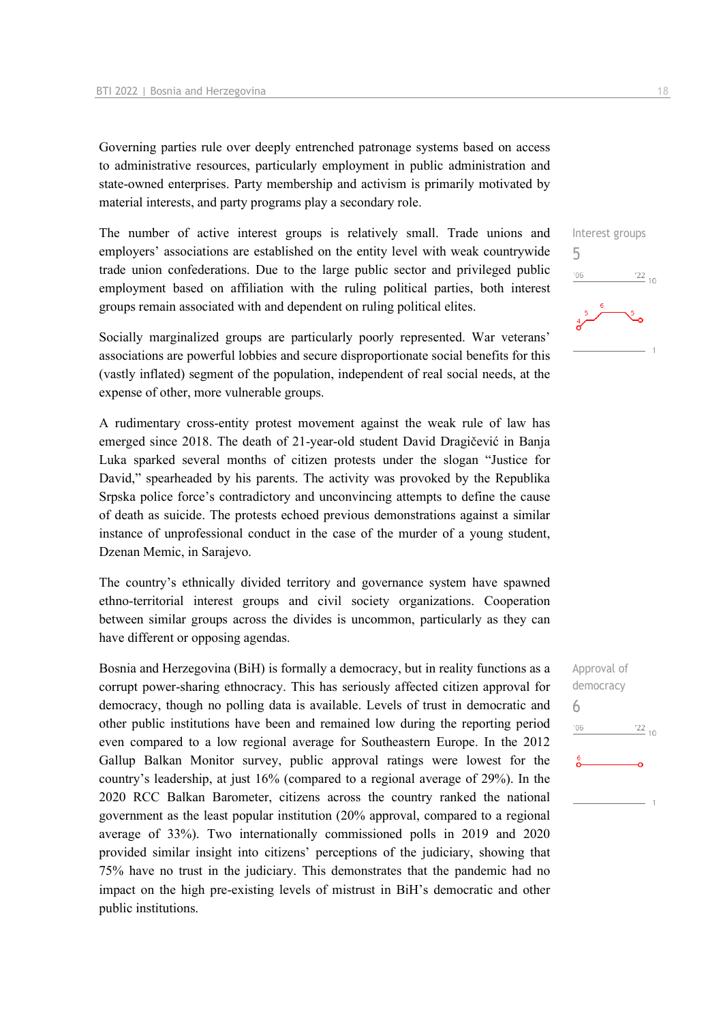Governing parties rule over deeply entrenched patronage systems based on access to administrative resources, particularly employment in public administration and state-owned enterprises. Party membership and activism is primarily motivated by material interests, and party programs play a secondary role.

The number of active interest groups is relatively small. Trade unions and employers' associations are established on the entity level with weak countrywide trade union confederations. Due to the large public sector and privileged public employment based on affiliation with the ruling political parties, both interest groups remain associated with and dependent on ruling political elites.

Socially marginalized groups are particularly poorly represented. War veterans' associations are powerful lobbies and secure disproportionate social benefits for this (vastly inflated) segment of the population, independent of real social needs, at the expense of other, more vulnerable groups.

A rudimentary cross-entity protest movement against the weak rule of law has emerged since 2018. The death of 21-year-old student David Dragičević in Banja Luka sparked several months of citizen protests under the slogan "Justice for David," spearheaded by his parents. The activity was provoked by the Republika Srpska police force's contradictory and unconvincing attempts to define the cause of death as suicide. The protests echoed previous demonstrations against a similar instance of unprofessional conduct in the case of the murder of a young student, Dzenan Memic, in Sarajevo.

The country's ethnically divided territory and governance system have spawned ethno-territorial interest groups and civil society organizations. Cooperation between similar groups across the divides is uncommon, particularly as they can have different or opposing agendas.

Bosnia and Herzegovina (BiH) is formally a democracy, but in reality functions as a corrupt power-sharing ethnocracy. This has seriously affected citizen approval for democracy, though no polling data is available. Levels of trust in democratic and other public institutions have been and remained low during the reporting period even compared to a low regional average for Southeastern Europe. In the 2012 Gallup Balkan Monitor survey, public approval ratings were lowest for the country's leadership, at just 16% (compared to a regional average of 29%). In the 2020 RCC Balkan Barometer, citizens across the country ranked the national government as the least popular institution (20% approval, compared to a regional average of 33%). Two internationally commissioned polls in 2019 and 2020 provided similar insight into citizens' perceptions of the judiciary, showing that 75% have no trust in the judiciary. This demonstrates that the pandemic had no impact on the high pre-existing levels of mistrust in BiH's democratic and other public institutions.

Interest groups 5  $\frac{22}{10}$  $-06$ 

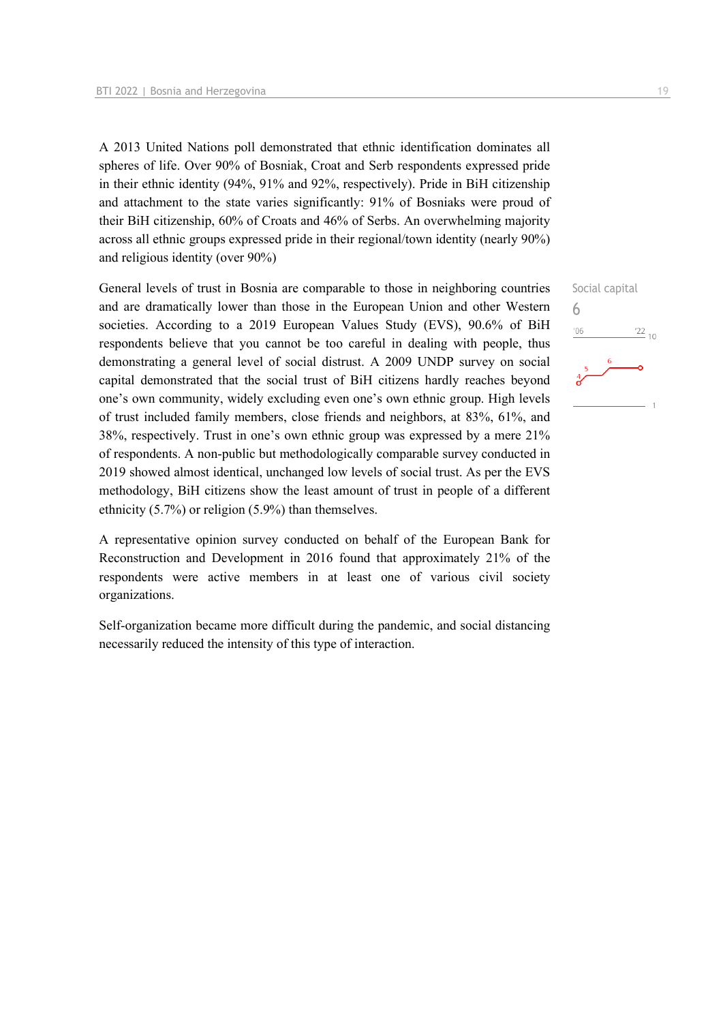A 2013 United Nations poll demonstrated that ethnic identification dominates all spheres of life. Over 90% of Bosniak, Croat and Serb respondents expressed pride in their ethnic identity (94%, 91% and 92%, respectively). Pride in BiH citizenship and attachment to the state varies significantly: 91% of Bosniaks were proud of their BiH citizenship, 60% of Croats and 46% of Serbs. An overwhelming majority across all ethnic groups expressed pride in their regional/town identity (nearly 90%) and religious identity (over 90%)

General levels of trust in Bosnia are comparable to those in neighboring countries and are dramatically lower than those in the European Union and other Western societies. According to a 2019 European Values Study (EVS), 90.6% of BiH respondents believe that you cannot be too careful in dealing with people, thus demonstrating a general level of social distrust. A 2009 UNDP survey on social capital demonstrated that the social trust of BiH citizens hardly reaches beyond one's own community, widely excluding even one's own ethnic group. High levels of trust included family members, close friends and neighbors, at 83%, 61%, and 38%, respectively. Trust in one's own ethnic group was expressed by a mere 21% of respondents. A non-public but methodologically comparable survey conducted in 2019 showed almost identical, unchanged low levels of social trust. As per the EVS methodology, BiH citizens show the least amount of trust in people of a different ethnicity (5.7%) or religion (5.9%) than themselves.

A representative opinion survey conducted on behalf of the European Bank for Reconstruction and Development in 2016 found that approximately 21% of the respondents were active members in at least one of various civil society organizations.

Self-organization became more difficult during the pandemic, and social distancing necessarily reduced the intensity of this type of interaction.

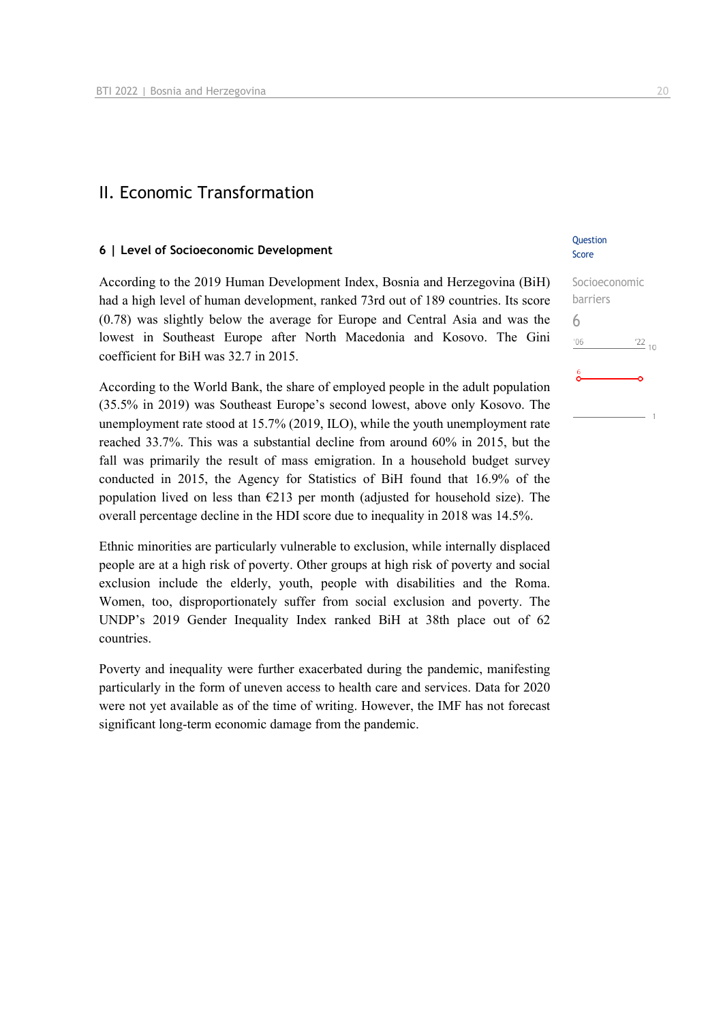### II. Economic Transformation

#### **6 | Level of Socioeconomic Development**

According to the 2019 Human Development Index, Bosnia and Herzegovina (BiH) had a high level of human development, ranked 73rd out of 189 countries. Its score (0.78) was slightly below the average for Europe and Central Asia and was the lowest in Southeast Europe after North Macedonia and Kosovo. The Gini coefficient for BiH was 32.7 in 2015.

According to the World Bank, the share of employed people in the adult population (35.5% in 2019) was Southeast Europe's second lowest, above only Kosovo. The unemployment rate stood at 15.7% (2019, ILO), while the youth unemployment rate reached 33.7%. This was a substantial decline from around 60% in 2015, but the fall was primarily the result of mass emigration. In a household budget survey conducted in 2015, the Agency for Statistics of BiH found that 16.9% of the population lived on less than  $\epsilon$ 213 per month (adjusted for household size). The overall percentage decline in the HDI score due to inequality in 2018 was 14.5%.

Ethnic minorities are particularly vulnerable to exclusion, while internally displaced people are at a high risk of poverty. Other groups at high risk of poverty and social exclusion include the elderly, youth, people with disabilities and the Roma. Women, too, disproportionately suffer from social exclusion and poverty. The UNDP's 2019 Gender Inequality Index ranked BiH at 38th place out of 62 countries.

Poverty and inequality were further exacerbated during the pandemic, manifesting particularly in the form of uneven access to health care and services. Data for 2020 were not yet available as of the time of writing. However, the IMF has not forecast significant long-term economic damage from the pandemic.

#### **Ouestion** Score

## Socioeconomic barriers 6 $^{22}_{-10}$  $-06$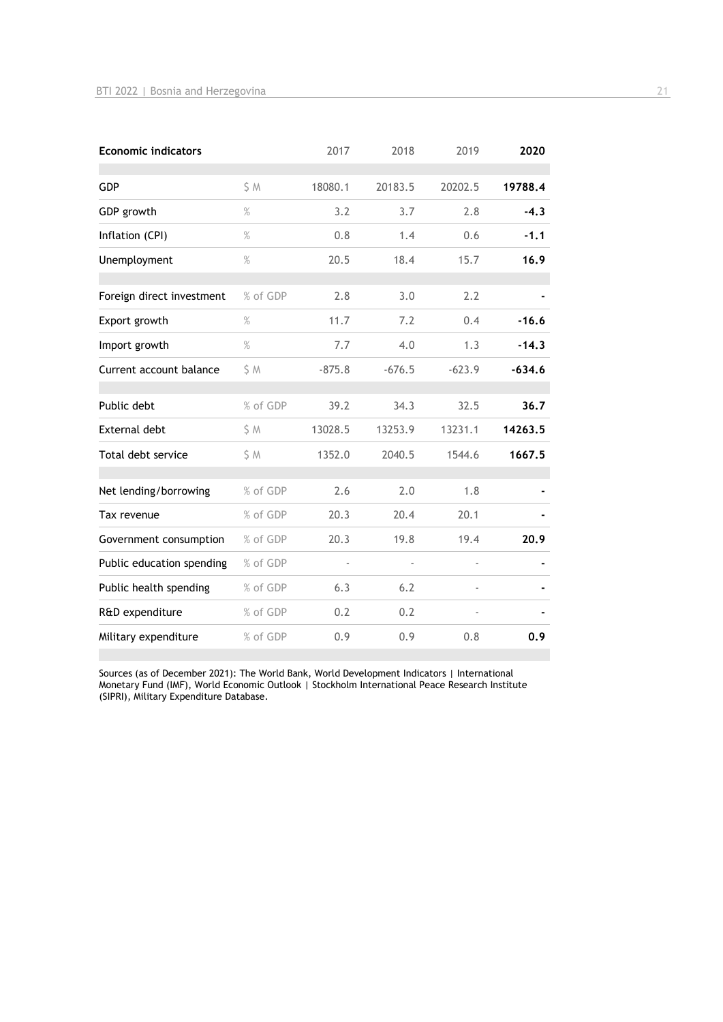| <b>Economic indicators</b> |          | 2017                     | 2018     | 2019     | 2020     |
|----------------------------|----------|--------------------------|----------|----------|----------|
| <b>GDP</b>                 | S M      | 18080.1                  | 20183.5  | 20202.5  | 19788.4  |
| GDP growth                 | $\%$     | 3.2                      | 3.7      | 2.8      | $-4.3$   |
| Inflation (CPI)            | $\%$     | 0.8                      | 1.4      | 0.6      | $-1.1$   |
| Unemployment               | $\%$     | 20.5                     | 18.4     | 15.7     | 16.9     |
| Foreign direct investment  | % of GDP | 2.8                      | 3.0      | 2.2      |          |
| Export growth              | $\%$     | 11.7                     | 7.2      | 0.4      | $-16.6$  |
| Import growth              | $\%$     | 7.7                      | 4.0      | 1.3      | $-14.3$  |
| Current account balance    | S M      | $-875.8$                 | $-676.5$ | $-623.9$ | $-634.6$ |
| Public debt                | % of GDP | 39.2                     | 34.3     | 32.5     | 36.7     |
| <b>External debt</b>       | \$ M     | 13028.5                  | 13253.9  | 13231.1  | 14263.5  |
| Total debt service         | S M      | 1352.0                   | 2040.5   | 1544.6   | 1667.5   |
| Net lending/borrowing      | % of GDP | 2.6                      | 2.0      | 1.8      |          |
| Tax revenue                | % of GDP | 20.3                     | 20.4     | 20.1     |          |
| Government consumption     | % of GDP | 20.3                     | 19.8     | 19.4     | 20.9     |
| Public education spending  | % of GDP | $\overline{\phantom{a}}$ |          |          |          |
| Public health spending     | % of GDP | 6.3                      | 6.2      |          |          |
| R&D expenditure            | % of GDP | 0.2                      | 0.2      |          |          |
| Military expenditure       | % of GDP | 0.9                      | 0.9      | 0.8      | 0.9      |

Sources (as of December 2021): The World Bank, World Development Indicators | International Monetary Fund (IMF), World Economic Outlook | Stockholm International Peace Research Institute (SIPRI), Military Expenditure Database.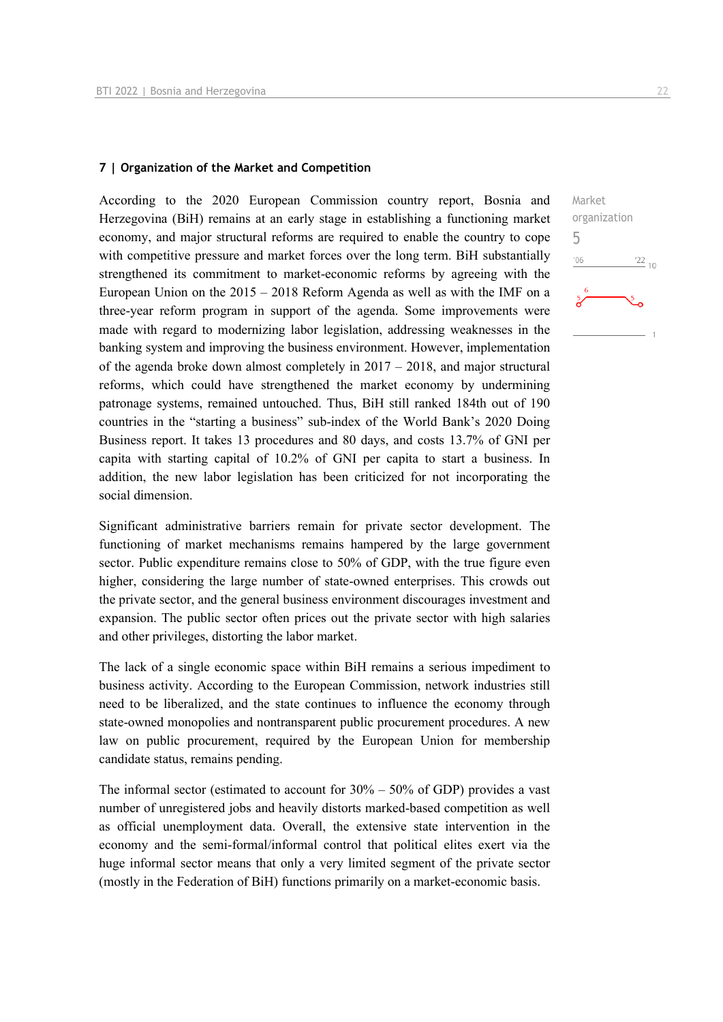#### **7 | Organization of the Market and Competition**

According to the 2020 European Commission country report, Bosnia and Herzegovina (BiH) remains at an early stage in establishing a functioning market economy, and major structural reforms are required to enable the country to cope with competitive pressure and market forces over the long term. BiH substantially strengthened its commitment to market-economic reforms by agreeing with the European Union on the  $2015 - 2018$  Reform Agenda as well as with the IMF on a three-year reform program in support of the agenda. Some improvements were made with regard to modernizing labor legislation, addressing weaknesses in the banking system and improving the business environment. However, implementation of the agenda broke down almost completely in 2017 – 2018, and major structural reforms, which could have strengthened the market economy by undermining patronage systems, remained untouched. Thus, BiH still ranked 184th out of 190 countries in the "starting a business" sub-index of the World Bank's 2020 Doing Business report. It takes 13 procedures and 80 days, and costs 13.7% of GNI per capita with starting capital of 10.2% of GNI per capita to start a business. In addition, the new labor legislation has been criticized for not incorporating the social dimension.

Significant administrative barriers remain for private sector development. The functioning of market mechanisms remains hampered by the large government sector. Public expenditure remains close to 50% of GDP, with the true figure even higher, considering the large number of state-owned enterprises. This crowds out the private sector, and the general business environment discourages investment and expansion. The public sector often prices out the private sector with high salaries and other privileges, distorting the labor market.

The lack of a single economic space within BiH remains a serious impediment to business activity. According to the European Commission, network industries still need to be liberalized, and the state continues to influence the economy through state-owned monopolies and nontransparent public procurement procedures. A new law on public procurement, required by the European Union for membership candidate status, remains pending.

The informal sector (estimated to account for  $30\% - 50\%$  of GDP) provides a vast number of unregistered jobs and heavily distorts marked-based competition as well as official unemployment data. Overall, the extensive state intervention in the economy and the semi-formal/informal control that political elites exert via the huge informal sector means that only a very limited segment of the private sector (mostly in the Federation of BiH) functions primarily on a market-economic basis.

Market organization 5 $06'$  $\frac{22}{10}$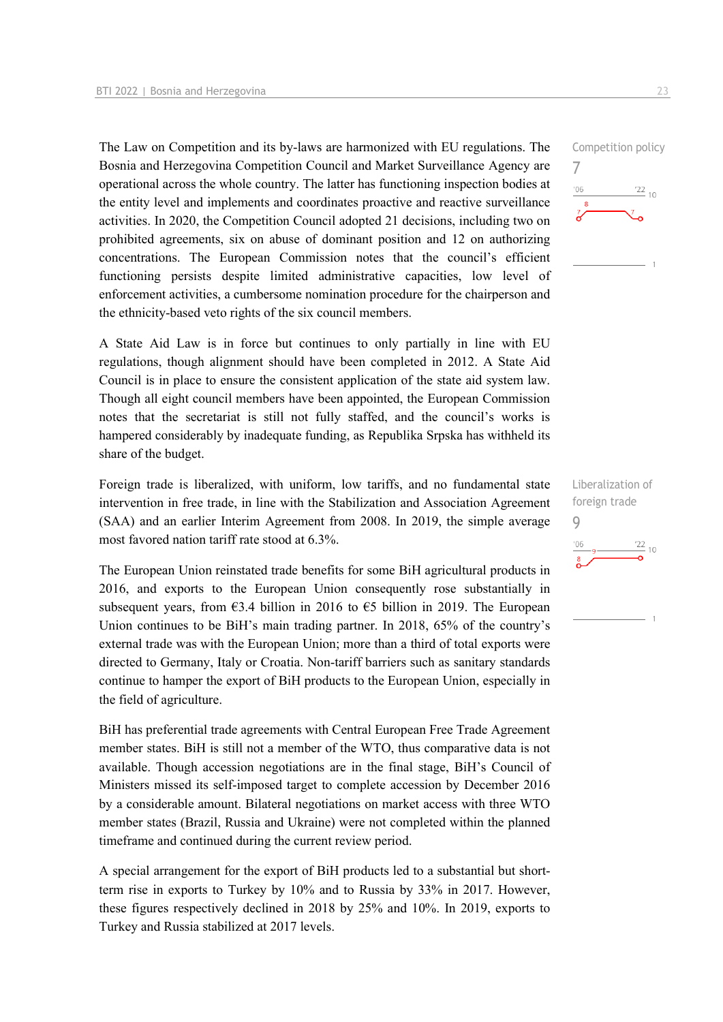The Law on Competition and its by-laws are harmonized with EU regulations. The Bosnia and Herzegovina Competition Council and Market Surveillance Agency are operational across the whole country. The latter has functioning inspection bodies at the entity level and implements and coordinates proactive and reactive surveillance activities. In 2020, the Competition Council adopted 21 decisions, including two on prohibited agreements, six on abuse of dominant position and 12 on authorizing concentrations. The European Commission notes that the council's efficient functioning persists despite limited administrative capacities, low level of enforcement activities, a cumbersome nomination procedure for the chairperson and the ethnicity-based veto rights of the six council members.

A State Aid Law is in force but continues to only partially in line with EU regulations, though alignment should have been completed in 2012. A State Aid Council is in place to ensure the consistent application of the state aid system law. Though all eight council members have been appointed, the European Commission notes that the secretariat is still not fully staffed, and the council's works is hampered considerably by inadequate funding, as Republika Srpska has withheld its share of the budget.

Foreign trade is liberalized, with uniform, low tariffs, and no fundamental state intervention in free trade, in line with the Stabilization and Association Agreement (SAA) and an earlier Interim Agreement from 2008. In 2019, the simple average most favored nation tariff rate stood at 6.3%.

The European Union reinstated trade benefits for some BiH agricultural products in 2016, and exports to the European Union consequently rose substantially in subsequent years, from  $63.4$  billion in 2016 to  $65$  billion in 2019. The European Union continues to be BiH's main trading partner. In 2018, 65% of the country's external trade was with the European Union; more than a third of total exports were directed to Germany, Italy or Croatia. Non-tariff barriers such as sanitary standards continue to hamper the export of BiH products to the European Union, especially in the field of agriculture.

BiH has preferential trade agreements with Central European Free Trade Agreement member states. BiH is still not a member of the WTO, thus comparative data is not available. Though accession negotiations are in the final stage, BiH's Council of Ministers missed its self-imposed target to complete accession by December 2016 by a considerable amount. Bilateral negotiations on market access with three WTO member states (Brazil, Russia and Ukraine) were not completed within the planned timeframe and continued during the current review period.

A special arrangement for the export of BiH products led to a substantial but shortterm rise in exports to Turkey by 10% and to Russia by 33% in 2017. However, these figures respectively declined in 2018 by 25% and 10%. In 2019, exports to Turkey and Russia stabilized at 2017 levels.

7

 $^{\prime}06$ 

Liberalization of foreign trade 9 $\frac{22}{10}$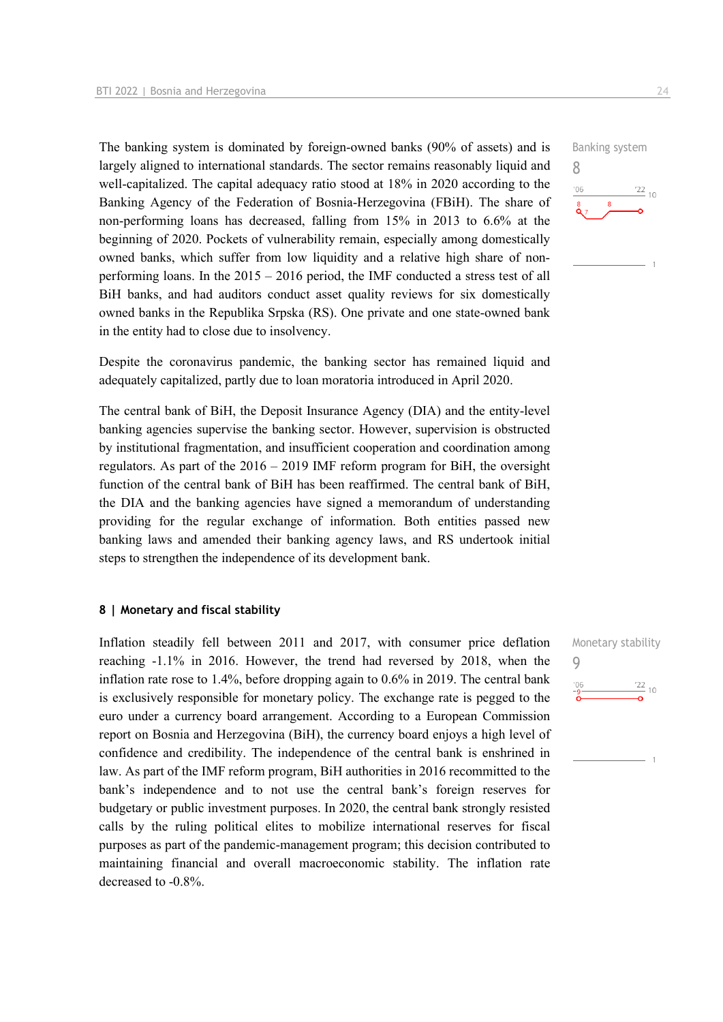The banking system is dominated by foreign-owned banks (90% of assets) and is largely aligned to international standards. The sector remains reasonably liquid and well-capitalized. The capital adequacy ratio stood at 18% in 2020 according to the Banking Agency of the Federation of Bosnia-Herzegovina (FBiH). The share of non-performing loans has decreased, falling from 15% in 2013 to 6.6% at the beginning of 2020. Pockets of vulnerability remain, especially among domestically owned banks, which suffer from low liquidity and a relative high share of nonperforming loans. In the 2015 – 2016 period, the IMF conducted a stress test of all BiH banks, and had auditors conduct asset quality reviews for six domestically owned banks in the Republika Srpska (RS). One private and one state-owned bank in the entity had to close due to insolvency.

Despite the coronavirus pandemic, the banking sector has remained liquid and adequately capitalized, partly due to loan moratoria introduced in April 2020.

The central bank of BiH, the Deposit Insurance Agency (DIA) and the entity-level banking agencies supervise the banking sector. However, supervision is obstructed by institutional fragmentation, and insufficient cooperation and coordination among regulators. As part of the 2016 – 2019 IMF reform program for BiH, the oversight function of the central bank of BiH has been reaffirmed. The central bank of BiH, the DIA and the banking agencies have signed a memorandum of understanding providing for the regular exchange of information. Both entities passed new banking laws and amended their banking agency laws, and RS undertook initial steps to strengthen the independence of its development bank.

#### **8 | Monetary and fiscal stability**

Inflation steadily fell between 2011 and 2017, with consumer price deflation reaching -1.1% in 2016. However, the trend had reversed by 2018, when the inflation rate rose to 1.4%, before dropping again to 0.6% in 2019. The central bank is exclusively responsible for monetary policy. The exchange rate is pegged to the euro under a currency board arrangement. According to a European Commission report on Bosnia and Herzegovina (BiH), the currency board enjoys a high level of confidence and credibility. The independence of the central bank is enshrined in law. As part of the IMF reform program, BiH authorities in 2016 recommitted to the bank's independence and to not use the central bank's foreign reserves for budgetary or public investment purposes. In 2020, the central bank strongly resisted calls by the ruling political elites to mobilize international reserves for fiscal purposes as part of the pandemic-management program; this decision contributed to maintaining financial and overall macroeconomic stability. The inflation rate decreased to -0.8%.

Monetary stability 9 $\frac{22}{10}$  $'06$ 

Banking system 8  $\frac{22}{10}$  $106$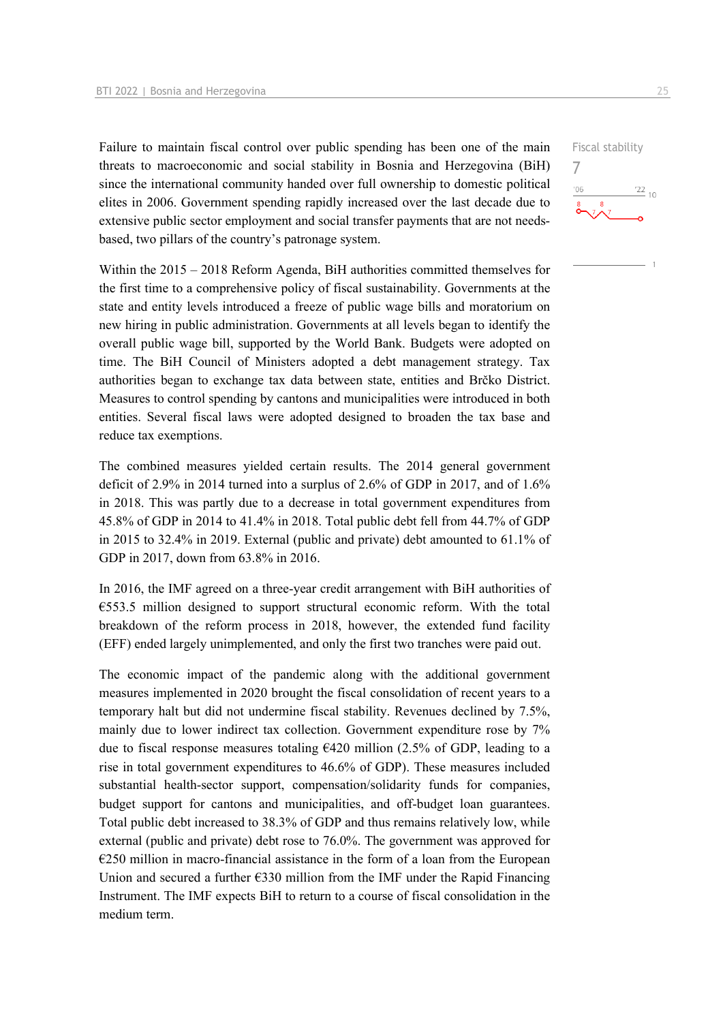Failure to maintain fiscal control over public spending has been one of the main threats to macroeconomic and social stability in Bosnia and Herzegovina (BiH) since the international community handed over full ownership to domestic political elites in 2006. Government spending rapidly increased over the last decade due to extensive public sector employment and social transfer payments that are not needsbased, two pillars of the country's patronage system.

Within the 2015 – 2018 Reform Agenda, BiH authorities committed themselves for the first time to a comprehensive policy of fiscal sustainability. Governments at the state and entity levels introduced a freeze of public wage bills and moratorium on new hiring in public administration. Governments at all levels began to identify the overall public wage bill, supported by the World Bank. Budgets were adopted on time. The BiH Council of Ministers adopted a debt management strategy. Tax authorities began to exchange tax data between state, entities and Brčko District. Measures to control spending by cantons and municipalities were introduced in both entities. Several fiscal laws were adopted designed to broaden the tax base and reduce tax exemptions.

The combined measures yielded certain results. The 2014 general government deficit of 2.9% in 2014 turned into a surplus of 2.6% of GDP in 2017, and of 1.6% in 2018. This was partly due to a decrease in total government expenditures from 45.8% of GDP in 2014 to 41.4% in 2018. Total public debt fell from 44.7% of GDP in 2015 to 32.4% in 2019. External (public and private) debt amounted to 61.1% of GDP in 2017, down from 63.8% in 2016.

In 2016, the IMF agreed on a three-year credit arrangement with BiH authorities of  $€553.5$  million designed to support structural economic reform. With the total breakdown of the reform process in 2018, however, the extended fund facility (EFF) ended largely unimplemented, and only the first two tranches were paid out.

The economic impact of the pandemic along with the additional government measures implemented in 2020 brought the fiscal consolidation of recent years to a temporary halt but did not undermine fiscal stability. Revenues declined by 7.5%, mainly due to lower indirect tax collection. Government expenditure rose by 7% due to fiscal response measures totaling €420 million (2.5% of GDP, leading to a rise in total government expenditures to 46.6% of GDP). These measures included substantial health-sector support, compensation/solidarity funds for companies, budget support for cantons and municipalities, and off-budget loan guarantees. Total public debt increased to 38.3% of GDP and thus remains relatively low, while external (public and private) debt rose to 76.0%. The government was approved for €250 million in macro-financial assistance in the form of a loan from the European Union and secured a further  $\epsilon$ 330 million from the IMF under the Rapid Financing Instrument. The IMF expects BiH to return to a course of fiscal consolidation in the medium term.

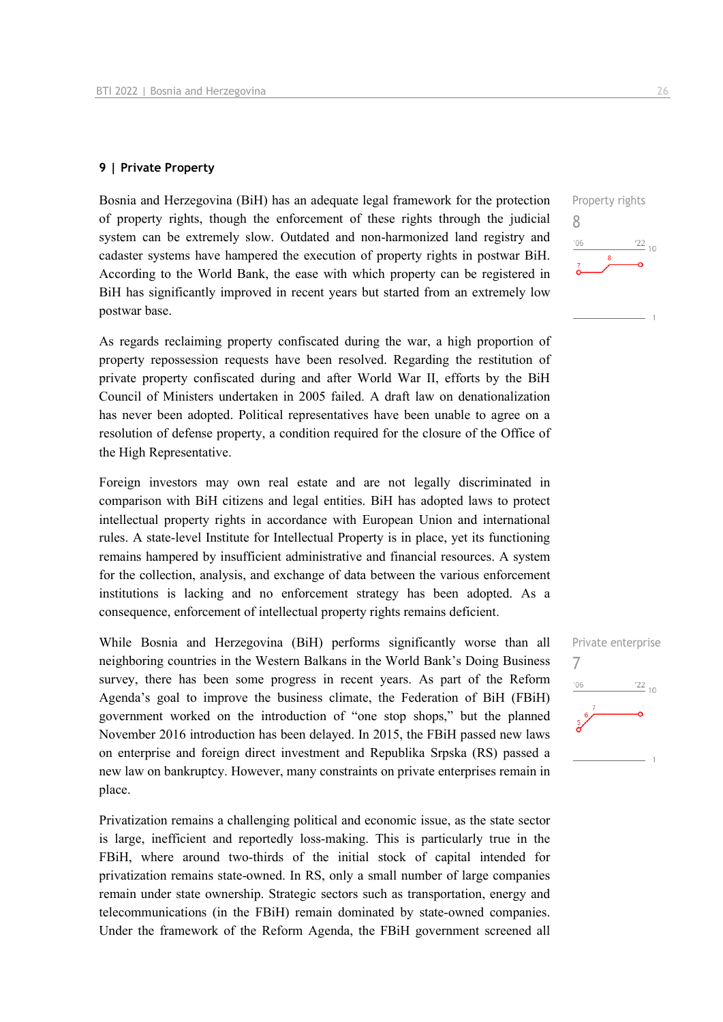#### **9 | Private Property**

Bosnia and Herzegovina (BiH) has an adequate legal framework for the protection of property rights, though the enforcement of these rights through the judicial system can be extremely slow. Outdated and non-harmonized land registry and cadaster systems have hampered the execution of property rights in postwar BiH. According to the World Bank, the ease with which property can be registered in BiH has significantly improved in recent years but started from an extremely low postwar base.

As regards reclaiming property confiscated during the war, a high proportion of property repossession requests have been resolved. Regarding the restitution of private property confiscated during and after World War II, efforts by the BiH Council of Ministers undertaken in 2005 failed. A draft law on denationalization has never been adopted. Political representatives have been unable to agree on a resolution of defense property, a condition required for the closure of the Office of the High Representative.

Foreign investors may own real estate and are not legally discriminated in comparison with BiH citizens and legal entities. BiH has adopted laws to protect intellectual property rights in accordance with European Union and international rules. A state-level Institute for Intellectual Property is in place, yet its functioning remains hampered by insufficient administrative and financial resources. A system for the collection, analysis, and exchange of data between the various enforcement institutions is lacking and no enforcement strategy has been adopted. As a consequence, enforcement of intellectual property rights remains deficient.

While Bosnia and Herzegovina (BiH) performs significantly worse than all neighboring countries in the Western Balkans in the World Bank's Doing Business survey, there has been some progress in recent years. As part of the Reform Agenda's goal to improve the business climate, the Federation of BiH (FBiH) government worked on the introduction of "one stop shops," but the planned November 2016 introduction has been delayed. In 2015, the FBiH passed new laws on enterprise and foreign direct investment and Republika Srpska (RS) passed a new law on bankruptcy. However, many constraints on private enterprises remain in place.

Privatization remains a challenging political and economic issue, as the state sector is large, inefficient and reportedly loss-making. This is particularly true in the FBiH, where around two-thirds of the initial stock of capital intended for privatization remains state-owned. In RS, only a small number of large companies remain under state ownership. Strategic sectors such as transportation, energy and telecommunications (in the FBiH) remain dominated by state-owned companies. Under the framework of the Reform Agenda, the FBiH government screened all 8

 $^{\prime}06$ 

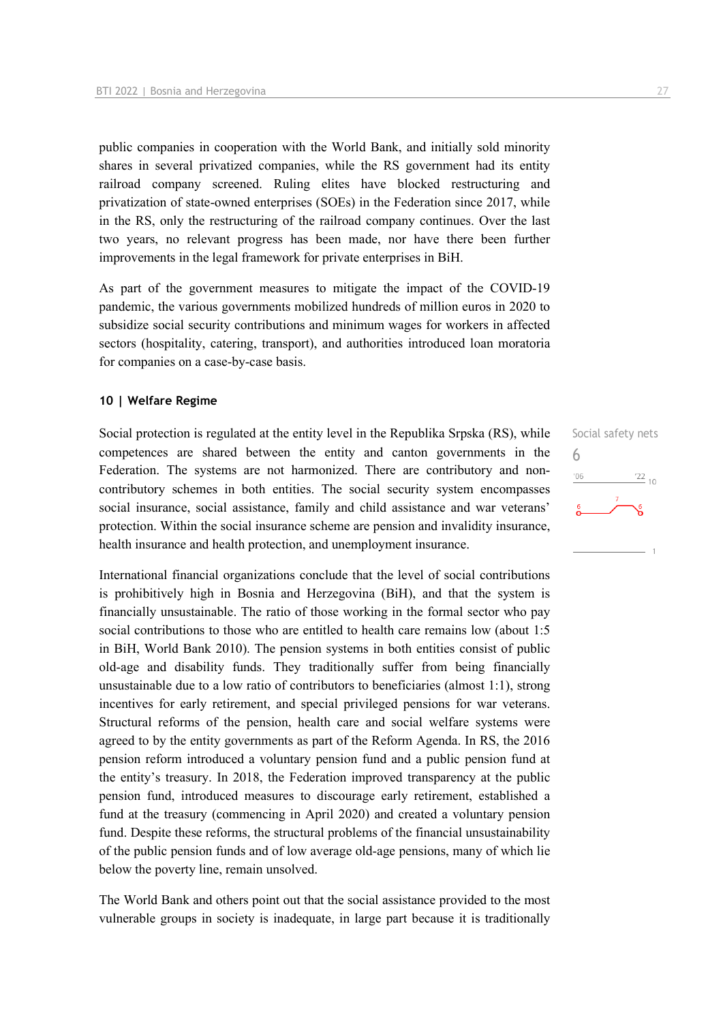public companies in cooperation with the World Bank, and initially sold minority shares in several privatized companies, while the RS government had its entity railroad company screened. Ruling elites have blocked restructuring and privatization of state-owned enterprises (SOEs) in the Federation since 2017, while in the RS, only the restructuring of the railroad company continues. Over the last two years, no relevant progress has been made, nor have there been further improvements in the legal framework for private enterprises in BiH.

As part of the government measures to mitigate the impact of the COVID-19 pandemic, the various governments mobilized hundreds of million euros in 2020 to subsidize social security contributions and minimum wages for workers in affected sectors (hospitality, catering, transport), and authorities introduced loan moratoria for companies on a case-by-case basis.

#### **10 | Welfare Regime**

Social protection is regulated at the entity level in the Republika Srpska (RS), while competences are shared between the entity and canton governments in the Federation. The systems are not harmonized. There are contributory and noncontributory schemes in both entities. The social security system encompasses social insurance, social assistance, family and child assistance and war veterans' protection. Within the social insurance scheme are pension and invalidity insurance, health insurance and health protection, and unemployment insurance.

International financial organizations conclude that the level of social contributions is prohibitively high in Bosnia and Herzegovina (BiH), and that the system is financially unsustainable. The ratio of those working in the formal sector who pay social contributions to those who are entitled to health care remains low (about 1:5 in BiH, World Bank 2010). The pension systems in both entities consist of public old-age and disability funds. They traditionally suffer from being financially unsustainable due to a low ratio of contributors to beneficiaries (almost 1:1), strong incentives for early retirement, and special privileged pensions for war veterans. Structural reforms of the pension, health care and social welfare systems were agreed to by the entity governments as part of the Reform Agenda. In RS, the 2016 pension reform introduced a voluntary pension fund and a public pension fund at the entity's treasury. In 2018, the Federation improved transparency at the public pension fund, introduced measures to discourage early retirement, established a fund at the treasury (commencing in April 2020) and created a voluntary pension fund. Despite these reforms, the structural problems of the financial unsustainability of the public pension funds and of low average old-age pensions, many of which lie below the poverty line, remain unsolved.

The World Bank and others point out that the social assistance provided to the most vulnerable groups in society is inadequate, in large part because it is traditionally

Social safety nets 6 $-06$  $\frac{22}{10}$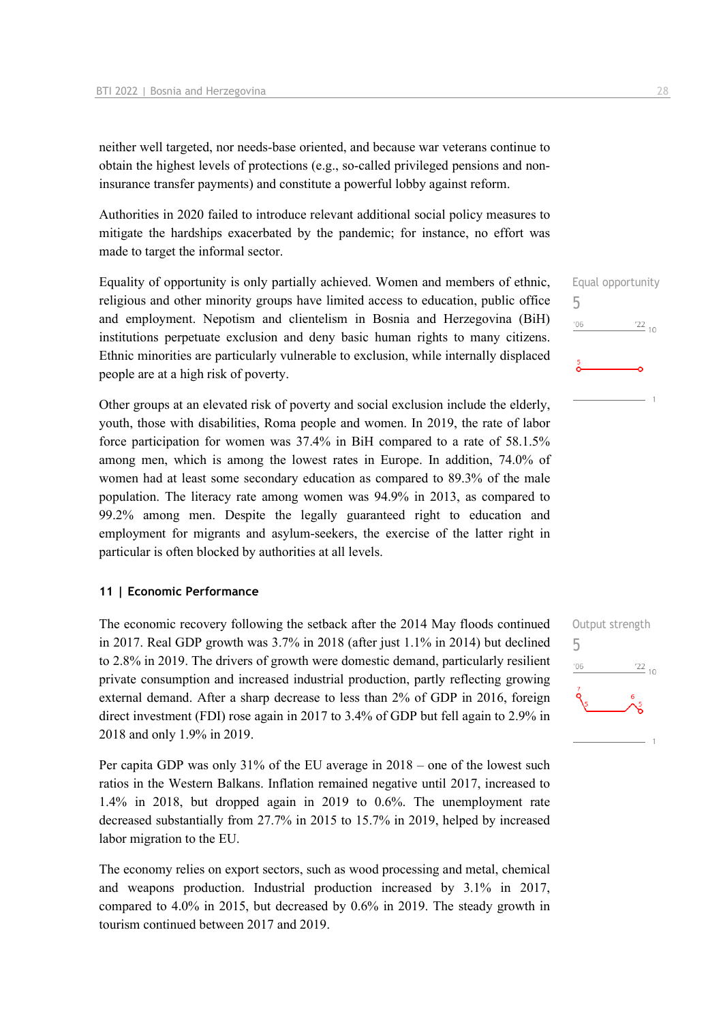neither well targeted, nor needs-base oriented, and because war veterans continue to obtain the highest levels of protections (e.g., so-called privileged pensions and noninsurance transfer payments) and constitute a powerful lobby against reform.

Authorities in 2020 failed to introduce relevant additional social policy measures to mitigate the hardships exacerbated by the pandemic; for instance, no effort was made to target the informal sector.

Equality of opportunity is only partially achieved. Women and members of ethnic, religious and other minority groups have limited access to education, public office and employment. Nepotism and clientelism in Bosnia and Herzegovina (BiH) institutions perpetuate exclusion and deny basic human rights to many citizens. Ethnic minorities are particularly vulnerable to exclusion, while internally displaced people are at a high risk of poverty.

Other groups at an elevated risk of poverty and social exclusion include the elderly, youth, those with disabilities, Roma people and women. In 2019, the rate of labor force participation for women was 37.4% in BiH compared to a rate of 58.1.5% among men, which is among the lowest rates in Europe. In addition, 74.0% of women had at least some secondary education as compared to 89.3% of the male population. The literacy rate among women was 94.9% in 2013, as compared to 99.2% among men. Despite the legally guaranteed right to education and employment for migrants and asylum-seekers, the exercise of the latter right in particular is often blocked by authorities at all levels.

#### **11 | Economic Performance**

The economic recovery following the setback after the 2014 May floods continued in 2017. Real GDP growth was 3.7% in 2018 (after just 1.1% in 2014) but declined to 2.8% in 2019. The drivers of growth were domestic demand, particularly resilient private consumption and increased industrial production, partly reflecting growing external demand. After a sharp decrease to less than 2% of GDP in 2016, foreign direct investment (FDI) rose again in 2017 to 3.4% of GDP but fell again to 2.9% in 2018 and only 1.9% in 2019.

Per capita GDP was only 31% of the EU average in 2018 – one of the lowest such ratios in the Western Balkans. Inflation remained negative until 2017, increased to 1.4% in 2018, but dropped again in 2019 to 0.6%. The unemployment rate decreased substantially from 27.7% in 2015 to 15.7% in 2019, helped by increased labor migration to the EU.

The economy relies on export sectors, such as wood processing and metal, chemical and weapons production. Industrial production increased by 3.1% in 2017, compared to 4.0% in 2015, but decreased by 0.6% in 2019. The steady growth in tourism continued between 2017 and 2019.

|               | Equal opportunity |
|---------------|-------------------|
| 5             |                   |
| '06           | $\frac{22}{10}$   |
|               |                   |
| $\frac{5}{9}$ |                   |
|               |                   |
|               |                   |

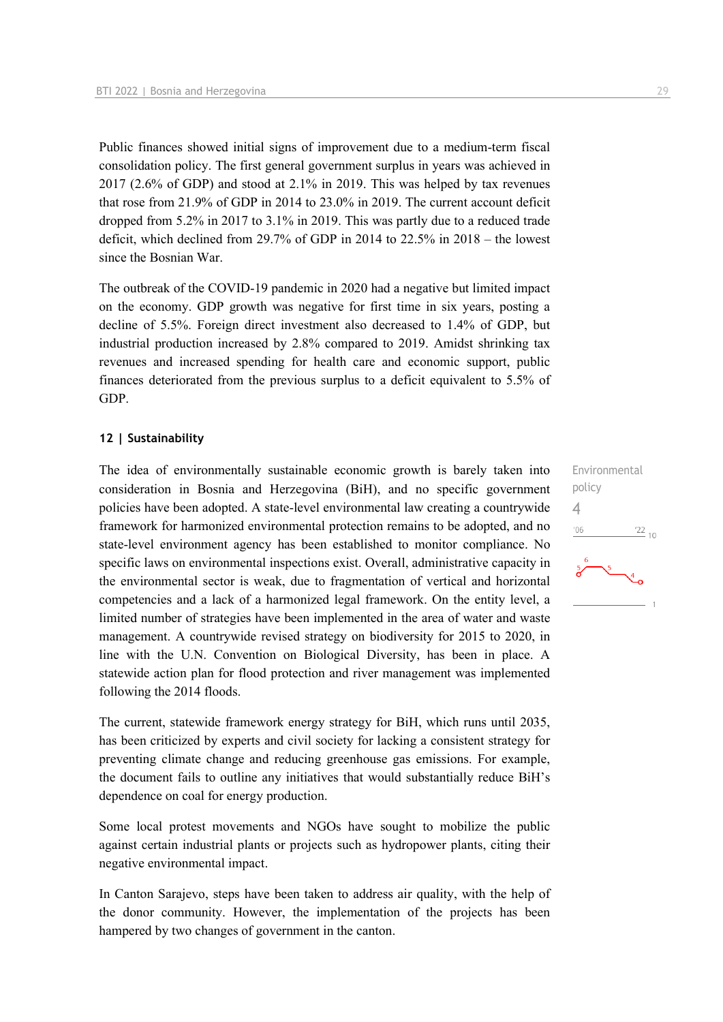Public finances showed initial signs of improvement due to a medium-term fiscal consolidation policy. The first general government surplus in years was achieved in 2017 (2.6% of GDP) and stood at 2.1% in 2019. This was helped by tax revenues that rose from 21.9% of GDP in 2014 to 23.0% in 2019. The current account deficit dropped from 5.2% in 2017 to 3.1% in 2019. This was partly due to a reduced trade deficit, which declined from 29.7% of GDP in 2014 to  $22.5\%$  in  $2018 -$  the lowest since the Bosnian War.

The outbreak of the COVID-19 pandemic in 2020 had a negative but limited impact on the economy. GDP growth was negative for first time in six years, posting a decline of 5.5%. Foreign direct investment also decreased to 1.4% of GDP, but industrial production increased by 2.8% compared to 2019. Amidst shrinking tax revenues and increased spending for health care and economic support, public finances deteriorated from the previous surplus to a deficit equivalent to 5.5% of GDP.

#### **12 | Sustainability**

The idea of environmentally sustainable economic growth is barely taken into consideration in Bosnia and Herzegovina (BiH), and no specific government policies have been adopted. A state-level environmental law creating a countrywide framework for harmonized environmental protection remains to be adopted, and no state-level environment agency has been established to monitor compliance. No specific laws on environmental inspections exist. Overall, administrative capacity in the environmental sector is weak, due to fragmentation of vertical and horizontal competencies and a lack of a harmonized legal framework. On the entity level, a limited number of strategies have been implemented in the area of water and waste management. A countrywide revised strategy on biodiversity for 2015 to 2020, in line with the U.N. Convention on Biological Diversity, has been in place. A statewide action plan for flood protection and river management was implemented following the 2014 floods.

The current, statewide framework energy strategy for BiH, which runs until 2035, has been criticized by experts and civil society for lacking a consistent strategy for preventing climate change and reducing greenhouse gas emissions. For example, the document fails to outline any initiatives that would substantially reduce BiH's dependence on coal for energy production.

Some local protest movements and NGOs have sought to mobilize the public against certain industrial plants or projects such as hydropower plants, citing their negative environmental impact.

In Canton Sarajevo, steps have been taken to address air quality, with the help of the donor community. However, the implementation of the projects has been hampered by two changes of government in the canton.

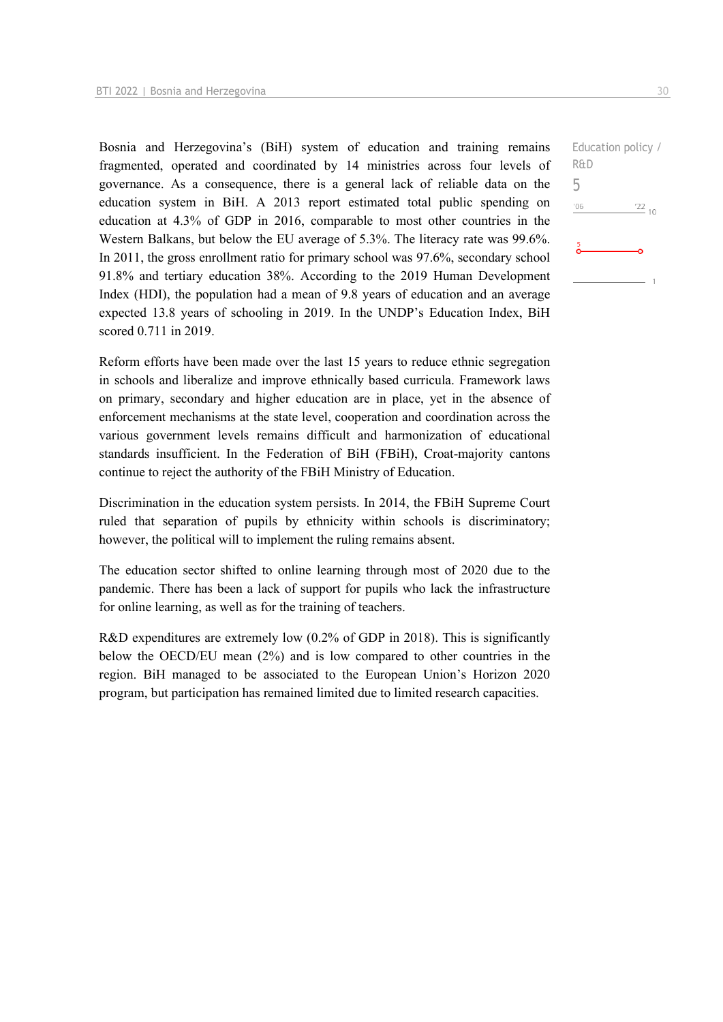Bosnia and Herzegovina's (BiH) system of education and training remains fragmented, operated and coordinated by 14 ministries across four levels of governance. As a consequence, there is a general lack of reliable data on the education system in BiH. A 2013 report estimated total public spending on education at 4.3% of GDP in 2016, comparable to most other countries in the Western Balkans, but below the EU average of 5.3%. The literacy rate was 99.6%. In 2011, the gross enrollment ratio for primary school was 97.6%, secondary school 91.8% and tertiary education 38%. According to the 2019 Human Development Index (HDI), the population had a mean of 9.8 years of education and an average expected 13.8 years of schooling in 2019. In the UNDP's Education Index, BiH scored 0.711 in 2019.

Reform efforts have been made over the last 15 years to reduce ethnic segregation in schools and liberalize and improve ethnically based curricula. Framework laws on primary, secondary and higher education are in place, yet in the absence of enforcement mechanisms at the state level, cooperation and coordination across the various government levels remains difficult and harmonization of educational standards insufficient. In the Federation of BiH (FBiH), Croat-majority cantons continue to reject the authority of the FBiH Ministry of Education.

Discrimination in the education system persists. In 2014, the FBiH Supreme Court ruled that separation of pupils by ethnicity within schools is discriminatory; however, the political will to implement the ruling remains absent.

The education sector shifted to online learning through most of 2020 due to the pandemic. There has been a lack of support for pupils who lack the infrastructure for online learning, as well as for the training of teachers.

R&D expenditures are extremely low (0.2% of GDP in 2018). This is significantly below the OECD/EU mean (2%) and is low compared to other countries in the region. BiH managed to be associated to the European Union's Horizon 2020 program, but participation has remained limited due to limited research capacities.

Education policy / R&D 5 $-06$  $'22_{10}$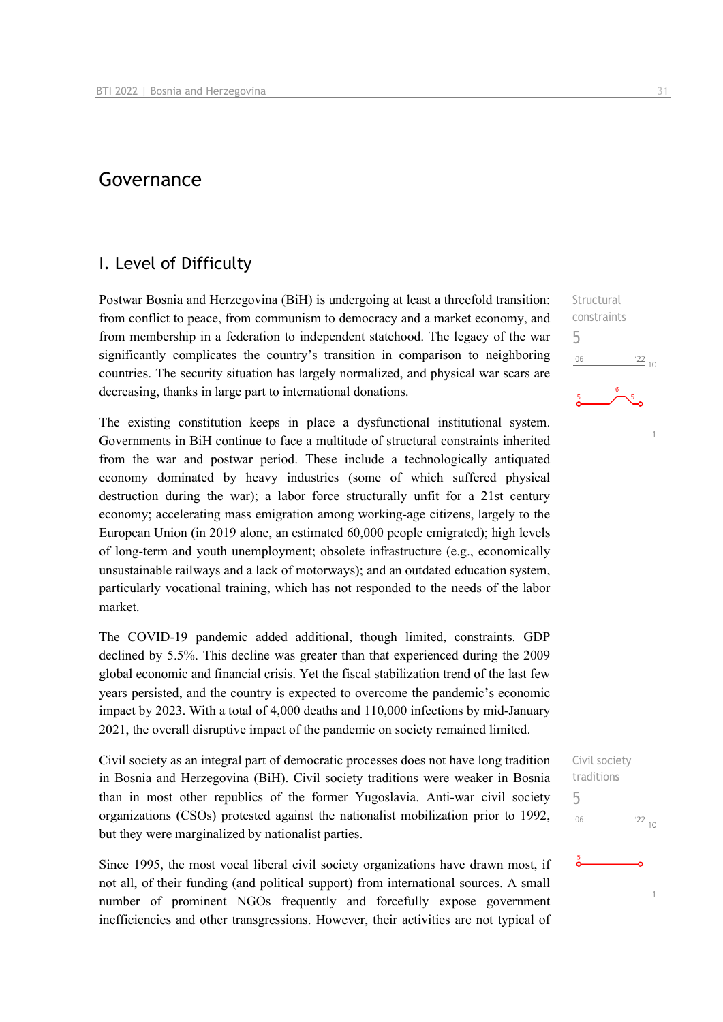## Governance

### I. Level of Difficulty

Postwar Bosnia and Herzegovina (BiH) is undergoing at least a threefold transition: from conflict to peace, from communism to democracy and a market economy, and from membership in a federation to independent statehood. The legacy of the war significantly complicates the country's transition in comparison to neighboring countries. The security situation has largely normalized, and physical war scars are decreasing, thanks in large part to international donations.

The existing constitution keeps in place a dysfunctional institutional system. Governments in BiH continue to face a multitude of structural constraints inherited from the war and postwar period. These include a technologically antiquated economy dominated by heavy industries (some of which suffered physical destruction during the war); a labor force structurally unfit for a 21st century economy; accelerating mass emigration among working-age citizens, largely to the European Union (in 2019 alone, an estimated 60,000 people emigrated); high levels of long-term and youth unemployment; obsolete infrastructure (e.g., economically unsustainable railways and a lack of motorways); and an outdated education system, particularly vocational training, which has not responded to the needs of the labor market.

The COVID-19 pandemic added additional, though limited, constraints. GDP declined by 5.5%. This decline was greater than that experienced during the 2009 global economic and financial crisis. Yet the fiscal stabilization trend of the last few years persisted, and the country is expected to overcome the pandemic's economic impact by 2023. With a total of 4,000 deaths and 110,000 infections by mid-January 2021, the overall disruptive impact of the pandemic on society remained limited.

Civil society as an integral part of democratic processes does not have long tradition in Bosnia and Herzegovina (BiH). Civil society traditions were weaker in Bosnia than in most other republics of the former Yugoslavia. Anti-war civil society organizations (CSOs) protested against the nationalist mobilization prior to 1992, but they were marginalized by nationalist parties.

Since 1995, the most vocal liberal civil society organizations have drawn most, if not all, of their funding (and political support) from international sources. A small number of prominent NGOs frequently and forcefully expose government inefficiencies and other transgressions. However, their activities are not typical of

**Structural** constraints 5  $n<sub>6</sub>$  $^{22}_{-10}$ 

Civil society traditions 5 $'06$  $\frac{22}{10}$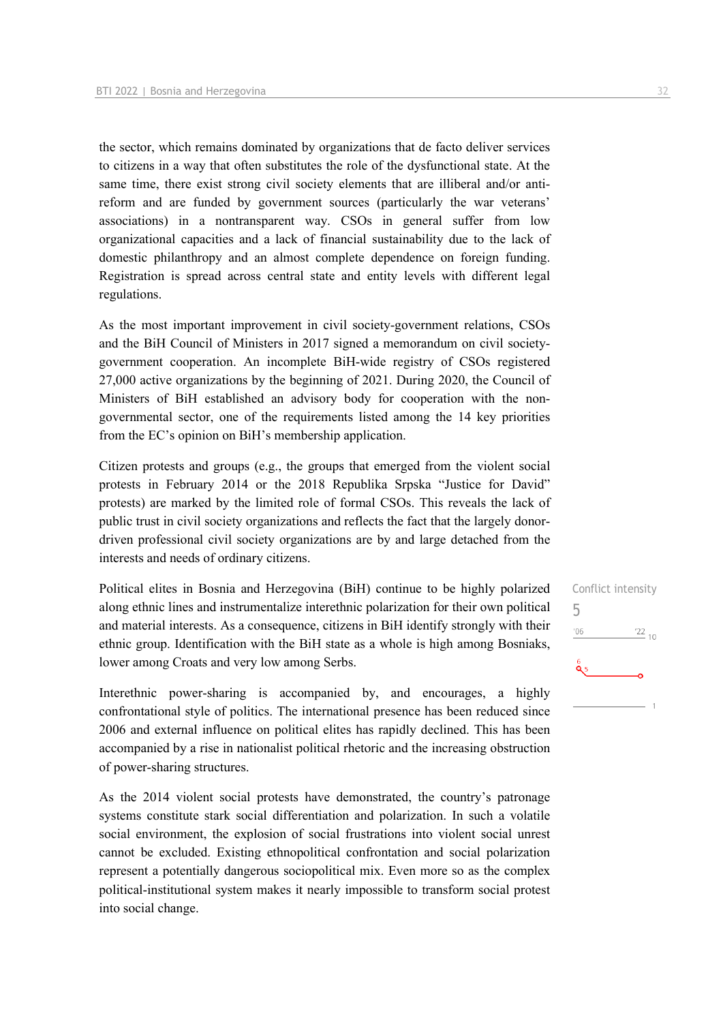the sector, which remains dominated by organizations that de facto deliver services to citizens in a way that often substitutes the role of the dysfunctional state. At the same time, there exist strong civil society elements that are illiberal and/or antireform and are funded by government sources (particularly the war veterans' associations) in a nontransparent way. CSOs in general suffer from low organizational capacities and a lack of financial sustainability due to the lack of domestic philanthropy and an almost complete dependence on foreign funding. Registration is spread across central state and entity levels with different legal regulations.

As the most important improvement in civil society-government relations, CSOs and the BiH Council of Ministers in 2017 signed a memorandum on civil societygovernment cooperation. An incomplete BiH-wide registry of CSOs registered 27,000 active organizations by the beginning of 2021. During 2020, the Council of Ministers of BiH established an advisory body for cooperation with the nongovernmental sector, one of the requirements listed among the 14 key priorities from the EC's opinion on BiH's membership application.

Citizen protests and groups (e.g., the groups that emerged from the violent social protests in February 2014 or the 2018 Republika Srpska "Justice for David" protests) are marked by the limited role of formal CSOs. This reveals the lack of public trust in civil society organizations and reflects the fact that the largely donordriven professional civil society organizations are by and large detached from the interests and needs of ordinary citizens.

Political elites in Bosnia and Herzegovina (BiH) continue to be highly polarized along ethnic lines and instrumentalize interethnic polarization for their own political and material interests. As a consequence, citizens in BiH identify strongly with their ethnic group. Identification with the BiH state as a whole is high among Bosniaks, lower among Croats and very low among Serbs.

Interethnic power-sharing is accompanied by, and encourages, a highly confrontational style of politics. The international presence has been reduced since 2006 and external influence on political elites has rapidly declined. This has been accompanied by a rise in nationalist political rhetoric and the increasing obstruction of power-sharing structures.

As the 2014 violent social protests have demonstrated, the country's patronage systems constitute stark social differentiation and polarization. In such a volatile social environment, the explosion of social frustrations into violent social unrest cannot be excluded. Existing ethnopolitical confrontation and social polarization represent a potentially dangerous sociopolitical mix. Even more so as the complex political-institutional system makes it nearly impossible to transform social protest into social change.

Conflict intensity 5 $06'$  $122_{10}$ ă5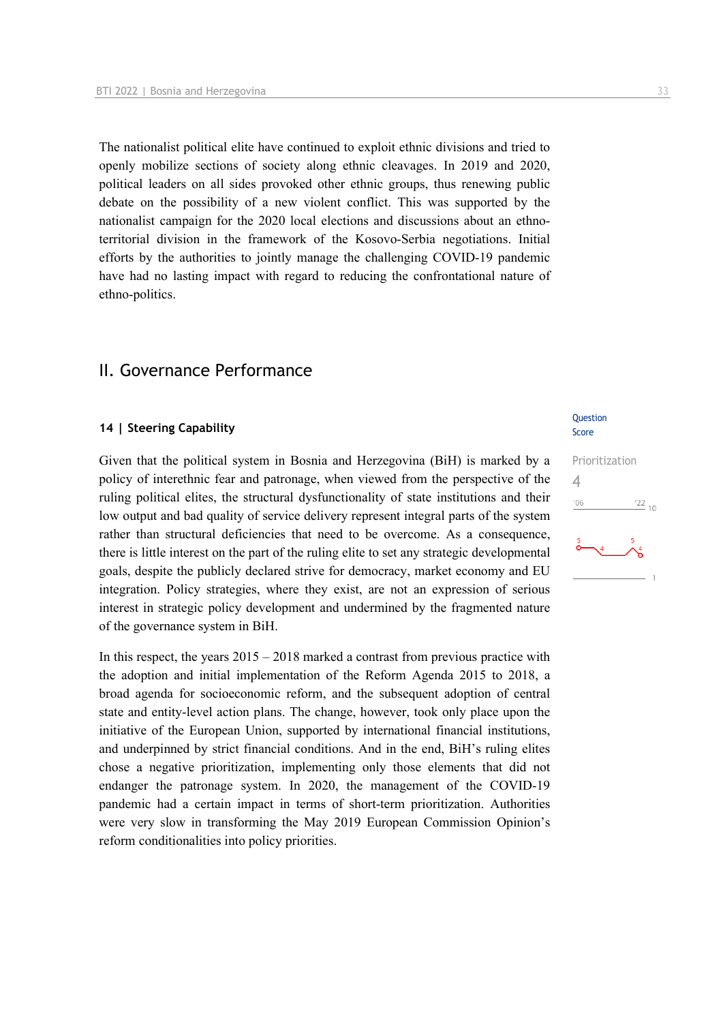The nationalist political elite have continued to exploit ethnic divisions and tried to openly mobilize sections of society along ethnic cleavages. In 2019 and 2020, political leaders on all sides provoked other ethnic groups, thus renewing public debate on the possibility of a new violent conflict. This was supported by the nationalist campaign for the 2020 local elections and discussions about an ethnoterritorial division in the framework of the Kosovo-Serbia negotiations. Initial efforts by the authorities to jointly manage the challenging COVID-19 pandemic have had no lasting impact with regard to reducing the confrontational nature of ethno-politics.

## II. Governance Performance

#### **14 | Steering Capability**

Given that the political system in Bosnia and Herzegovina (BiH) is marked by a policy of interethnic fear and patronage, when viewed from the perspective of the ruling political elites, the structural dysfunctionality of state institutions and their low output and bad quality of service delivery represent integral parts of the system rather than structural deficiencies that need to be overcome. As a consequence, there is little interest on the part of the ruling elite to set any strategic developmental goals, despite the publicly declared strive for democracy, market economy and EU integration. Policy strategies, where they exist, are not an expression of serious interest in strategic policy development and undermined by the fragmented nature of the governance system in BiH.

In this respect, the years  $2015 - 2018$  marked a contrast from previous practice with the adoption and initial implementation of the Reform Agenda 2015 to 2018, a broad agenda for socioeconomic reform, and the subsequent adoption of central state and entity-level action plans. The change, however, took only place upon the initiative of the European Union, supported by international financial institutions, and underpinned by strict financial conditions. And in the end, BiH's ruling elites chose a negative prioritization, implementing only those elements that did not endanger the patronage system. In 2020, the management of the COVID-19 pandemic had a certain impact in terms of short-term prioritization. Authorities were very slow in transforming the May 2019 European Commission Opinion's reform conditionalities into policy priorities.

#### Question Score

## Prioritization 4 $106$  $^{22}$  10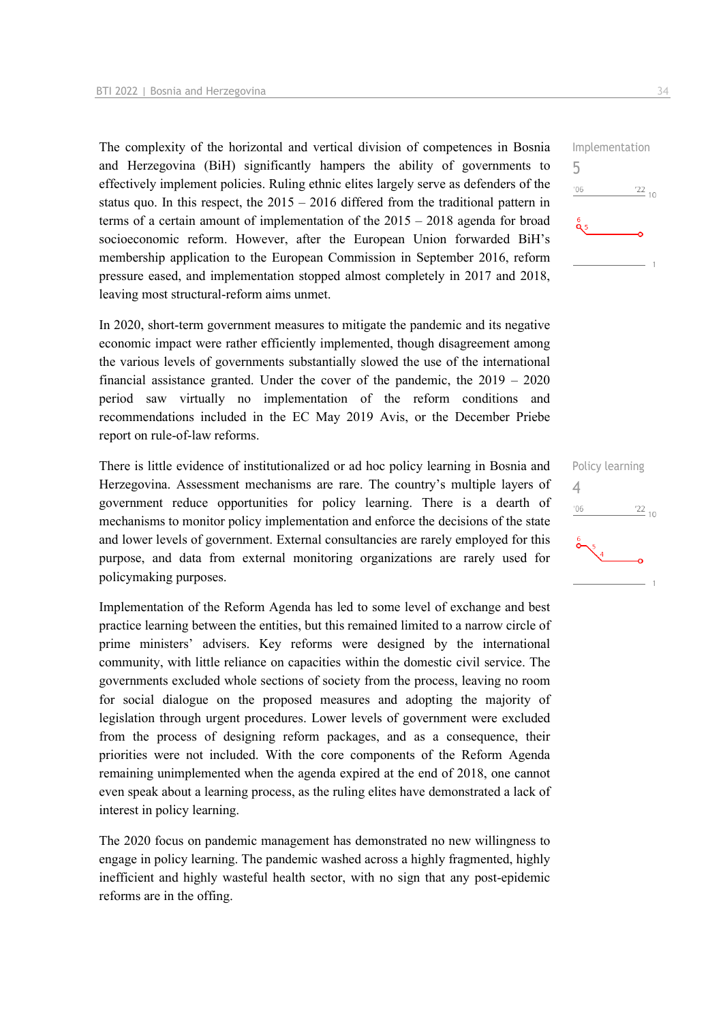The complexity of the horizontal and vertical division of competences in Bosnia and Herzegovina (BiH) significantly hampers the ability of governments to effectively implement policies. Ruling ethnic elites largely serve as defenders of the status quo. In this respect, the 2015 – 2016 differed from the traditional pattern in terms of a certain amount of implementation of the 2015 – 2018 agenda for broad socioeconomic reform. However, after the European Union forwarded BiH's membership application to the European Commission in September 2016, reform pressure eased, and implementation stopped almost completely in 2017 and 2018, leaving most structural-reform aims unmet.

In 2020, short-term government measures to mitigate the pandemic and its negative economic impact were rather efficiently implemented, though disagreement among the various levels of governments substantially slowed the use of the international financial assistance granted. Under the cover of the pandemic, the 2019 – 2020 period saw virtually no implementation of the reform conditions and recommendations included in the EC May 2019 Avis, or the December Priebe report on rule-of-law reforms.

There is little evidence of institutionalized or ad hoc policy learning in Bosnia and Herzegovina. Assessment mechanisms are rare. The country's multiple layers of government reduce opportunities for policy learning. There is a dearth of mechanisms to monitor policy implementation and enforce the decisions of the state and lower levels of government. External consultancies are rarely employed for this purpose, and data from external monitoring organizations are rarely used for policymaking purposes.

Implementation of the Reform Agenda has led to some level of exchange and best practice learning between the entities, but this remained limited to a narrow circle of prime ministers' advisers. Key reforms were designed by the international community, with little reliance on capacities within the domestic civil service. The governments excluded whole sections of society from the process, leaving no room for social dialogue on the proposed measures and adopting the majority of legislation through urgent procedures. Lower levels of government were excluded from the process of designing reform packages, and as a consequence, their priorities were not included. With the core components of the Reform Agenda remaining unimplemented when the agenda expired at the end of 2018, one cannot even speak about a learning process, as the ruling elites have demonstrated a lack of interest in policy learning.

The 2020 focus on pandemic management has demonstrated no new willingness to engage in policy learning. The pandemic washed across a highly fragmented, highly inefficient and highly wasteful health sector, with no sign that any post-epidemic reforms are in the offing.



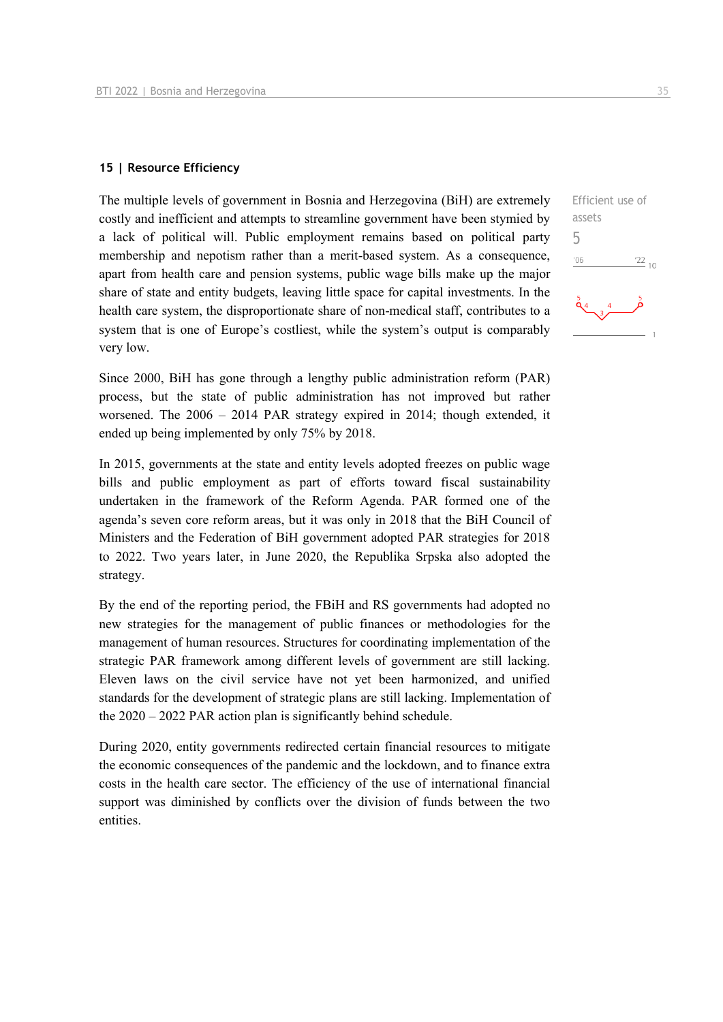#### **15 | Resource Efficiency**

The multiple levels of government in Bosnia and Herzegovina (BiH) are extremely costly and inefficient and attempts to streamline government have been stymied by a lack of political will. Public employment remains based on political party membership and nepotism rather than a merit-based system. As a consequence, apart from health care and pension systems, public wage bills make up the major share of state and entity budgets, leaving little space for capital investments. In the health care system, the disproportionate share of non-medical staff, contributes to a system that is one of Europe's costliest, while the system's output is comparably very low.

Since 2000, BiH has gone through a lengthy public administration reform (PAR) process, but the state of public administration has not improved but rather worsened. The 2006 – 2014 PAR strategy expired in 2014; though extended, it ended up being implemented by only 75% by 2018.

In 2015, governments at the state and entity levels adopted freezes on public wage bills and public employment as part of efforts toward fiscal sustainability undertaken in the framework of the Reform Agenda. PAR formed one of the agenda's seven core reform areas, but it was only in 2018 that the BiH Council of Ministers and the Federation of BiH government adopted PAR strategies for 2018 to 2022. Two years later, in June 2020, the Republika Srpska also adopted the strategy.

By the end of the reporting period, the FBiH and RS governments had adopted no new strategies for the management of public finances or methodologies for the management of human resources. Structures for coordinating implementation of the strategic PAR framework among different levels of government are still lacking. Eleven laws on the civil service have not yet been harmonized, and unified standards for the development of strategic plans are still lacking. Implementation of the 2020 – 2022 PAR action plan is significantly behind schedule.

During 2020, entity governments redirected certain financial resources to mitigate the economic consequences of the pandemic and the lockdown, and to finance extra costs in the health care sector. The efficiency of the use of international financial support was diminished by conflicts over the division of funds between the two entities.

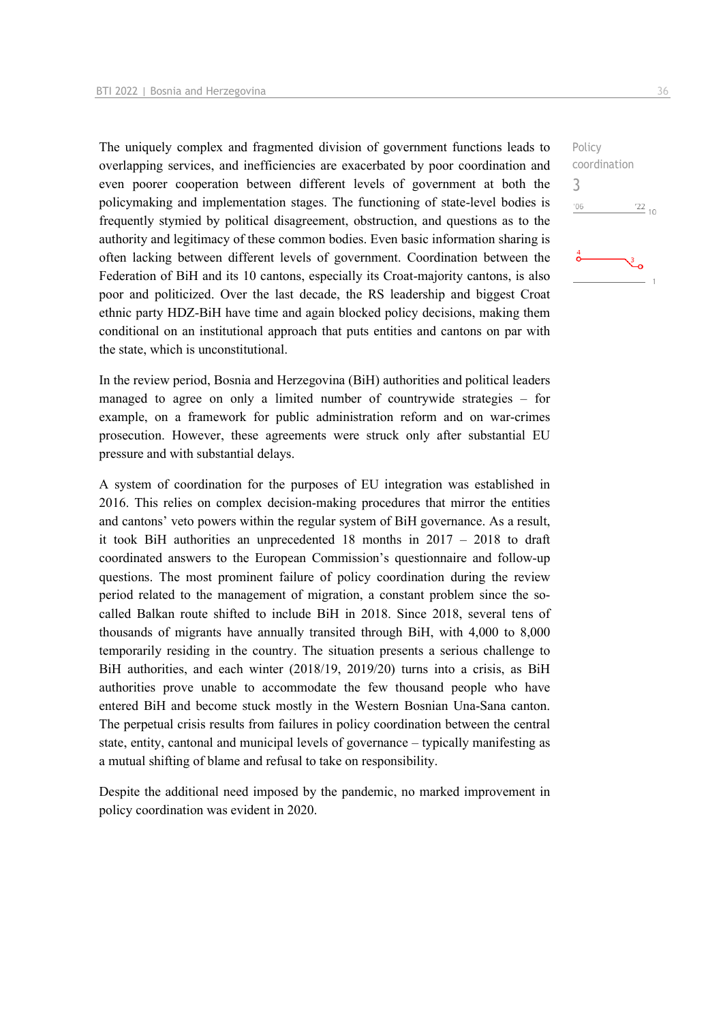The uniquely complex and fragmented division of government functions leads to overlapping services, and inefficiencies are exacerbated by poor coordination and even poorer cooperation between different levels of government at both the policymaking and implementation stages. The functioning of state-level bodies is frequently stymied by political disagreement, obstruction, and questions as to the authority and legitimacy of these common bodies. Even basic information sharing is often lacking between different levels of government. Coordination between the Federation of BiH and its 10 cantons, especially its Croat-majority cantons, is also poor and politicized. Over the last decade, the RS leadership and biggest Croat ethnic party HDZ-BiH have time and again blocked policy decisions, making them conditional on an institutional approach that puts entities and cantons on par with the state, which is unconstitutional.

In the review period, Bosnia and Herzegovina (BiH) authorities and political leaders managed to agree on only a limited number of countrywide strategies – for example, on a framework for public administration reform and on war-crimes prosecution. However, these agreements were struck only after substantial EU pressure and with substantial delays.

A system of coordination for the purposes of EU integration was established in 2016. This relies on complex decision-making procedures that mirror the entities and cantons' veto powers within the regular system of BiH governance. As a result, it took BiH authorities an unprecedented 18 months in 2017 – 2018 to draft coordinated answers to the European Commission's questionnaire and follow-up questions. The most prominent failure of policy coordination during the review period related to the management of migration, a constant problem since the socalled Balkan route shifted to include BiH in 2018. Since 2018, several tens of thousands of migrants have annually transited through BiH, with 4,000 to 8,000 temporarily residing in the country. The situation presents a serious challenge to BiH authorities, and each winter (2018/19, 2019/20) turns into a crisis, as BiH authorities prove unable to accommodate the few thousand people who have entered BiH and become stuck mostly in the Western Bosnian Una-Sana canton. The perpetual crisis results from failures in policy coordination between the central state, entity, cantonal and municipal levels of governance – typically manifesting as a mutual shifting of blame and refusal to take on responsibility.

Despite the additional need imposed by the pandemic, no marked improvement in policy coordination was evident in 2020.

3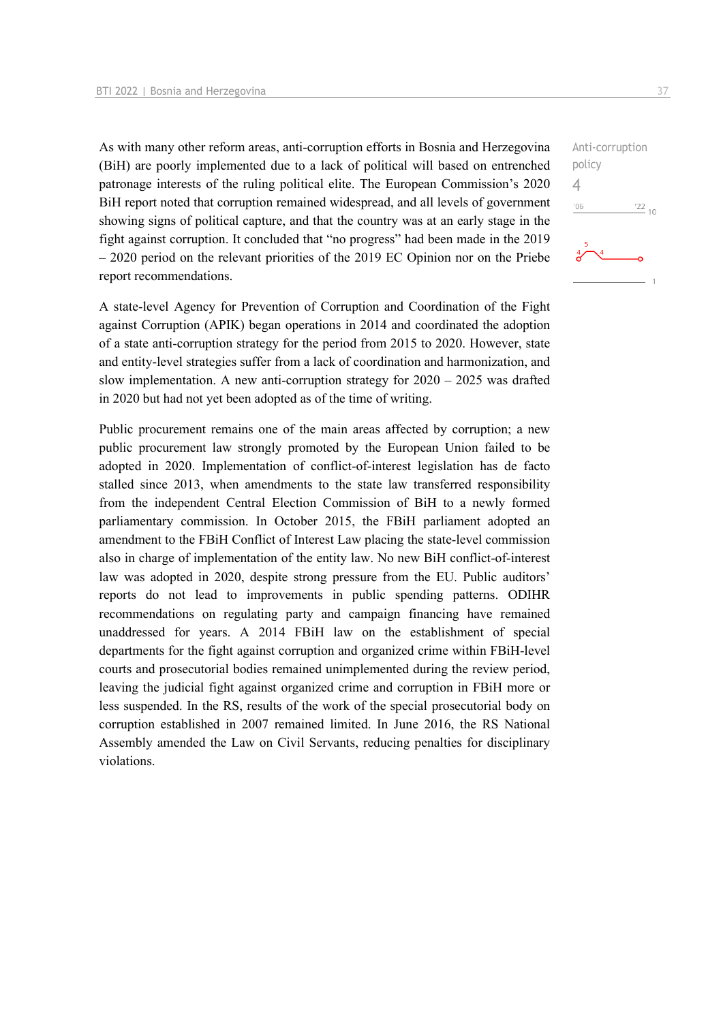As with many other reform areas, anti-corruption efforts in Bosnia and Herzegovina (BiH) are poorly implemented due to a lack of political will based on entrenched patronage interests of the ruling political elite. The European Commission's 2020 BiH report noted that corruption remained widespread, and all levels of government showing signs of political capture, and that the country was at an early stage in the fight against corruption. It concluded that "no progress" had been made in the 2019 – 2020 period on the relevant priorities of the 2019 EC Opinion nor on the Priebe report recommendations.

A state-level Agency for Prevention of Corruption and Coordination of the Fight against Corruption (APIK) began operations in 2014 and coordinated the adoption of a state anti-corruption strategy for the period from 2015 to 2020. However, state and entity-level strategies suffer from a lack of coordination and harmonization, and slow implementation. A new anti-corruption strategy for 2020 – 2025 was drafted in 2020 but had not yet been adopted as of the time of writing.

Public procurement remains one of the main areas affected by corruption; a new public procurement law strongly promoted by the European Union failed to be adopted in 2020. Implementation of conflict-of-interest legislation has de facto stalled since 2013, when amendments to the state law transferred responsibility from the independent Central Election Commission of BiH to a newly formed parliamentary commission. In October 2015, the FBiH parliament adopted an amendment to the FBiH Conflict of Interest Law placing the state-level commission also in charge of implementation of the entity law. No new BiH conflict-of-interest law was adopted in 2020, despite strong pressure from the EU. Public auditors' reports do not lead to improvements in public spending patterns. ODIHR recommendations on regulating party and campaign financing have remained unaddressed for years. A 2014 FBiH law on the establishment of special departments for the fight against corruption and organized crime within FBiH-level courts and prosecutorial bodies remained unimplemented during the review period, leaving the judicial fight against organized crime and corruption in FBiH more or less suspended. In the RS, results of the work of the special prosecutorial body on corruption established in 2007 remained limited. In June 2016, the RS National Assembly amended the Law on Civil Servants, reducing penalties for disciplinary violations.

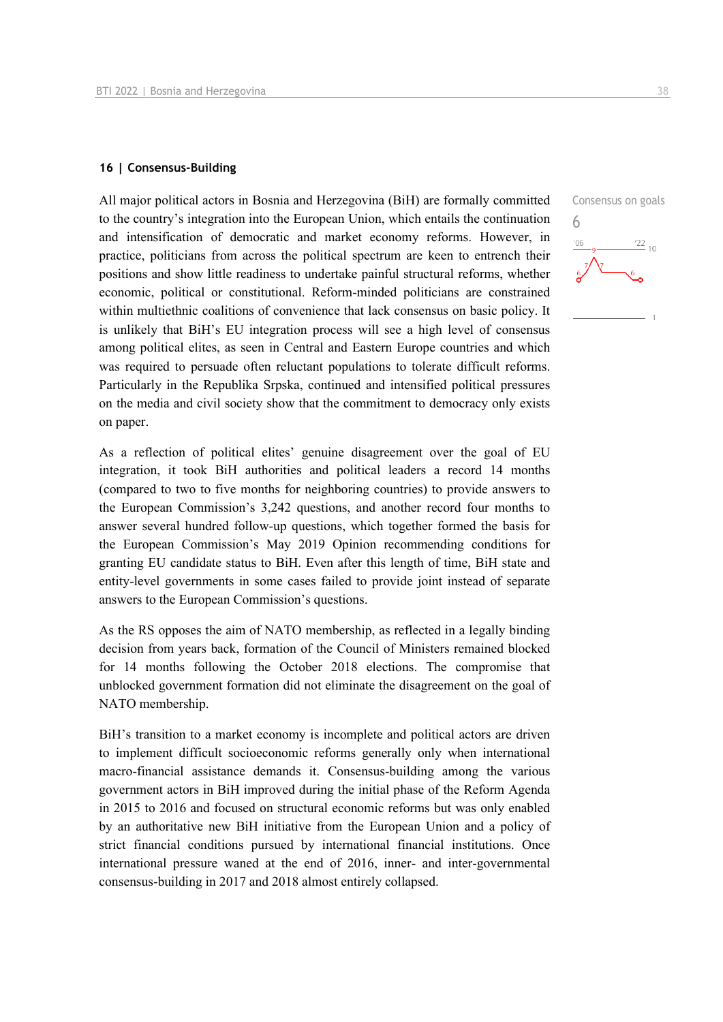#### **16 | Consensus-Building**

All major political actors in Bosnia and Herzegovina (BiH) are formally committed to the country's integration into the European Union, which entails the continuation and intensification of democratic and market economy reforms. However, in practice, politicians from across the political spectrum are keen to entrench their positions and show little readiness to undertake painful structural reforms, whether economic, political or constitutional. Reform-minded politicians are constrained within multiethnic coalitions of convenience that lack consensus on basic policy. It is unlikely that BiH's EU integration process will see a high level of consensus among political elites, as seen in Central and Eastern Europe countries and which was required to persuade often reluctant populations to tolerate difficult reforms. Particularly in the Republika Srpska, continued and intensified political pressures on the media and civil society show that the commitment to democracy only exists on paper.

As a reflection of political elites' genuine disagreement over the goal of EU integration, it took BiH authorities and political leaders a record 14 months (compared to two to five months for neighboring countries) to provide answers to the European Commission's 3,242 questions, and another record four months to answer several hundred follow-up questions, which together formed the basis for the European Commission's May 2019 Opinion recommending conditions for granting EU candidate status to BiH. Even after this length of time, BiH state and entity-level governments in some cases failed to provide joint instead of separate answers to the European Commission's questions.

As the RS opposes the aim of NATO membership, as reflected in a legally binding decision from years back, formation of the Council of Ministers remained blocked for 14 months following the October 2018 elections. The compromise that unblocked government formation did not eliminate the disagreement on the goal of NATO membership.

BiH's transition to a market economy is incomplete and political actors are driven to implement difficult socioeconomic reforms generally only when international macro-financial assistance demands it. Consensus-building among the various government actors in BiH improved during the initial phase of the Reform Agenda in 2015 to 2016 and focused on structural economic reforms but was only enabled by an authoritative new BiH initiative from the European Union and a policy of strict financial conditions pursued by international financial institutions. Once international pressure waned at the end of 2016, inner- and inter-governmental consensus-building in 2017 and 2018 almost entirely collapsed.

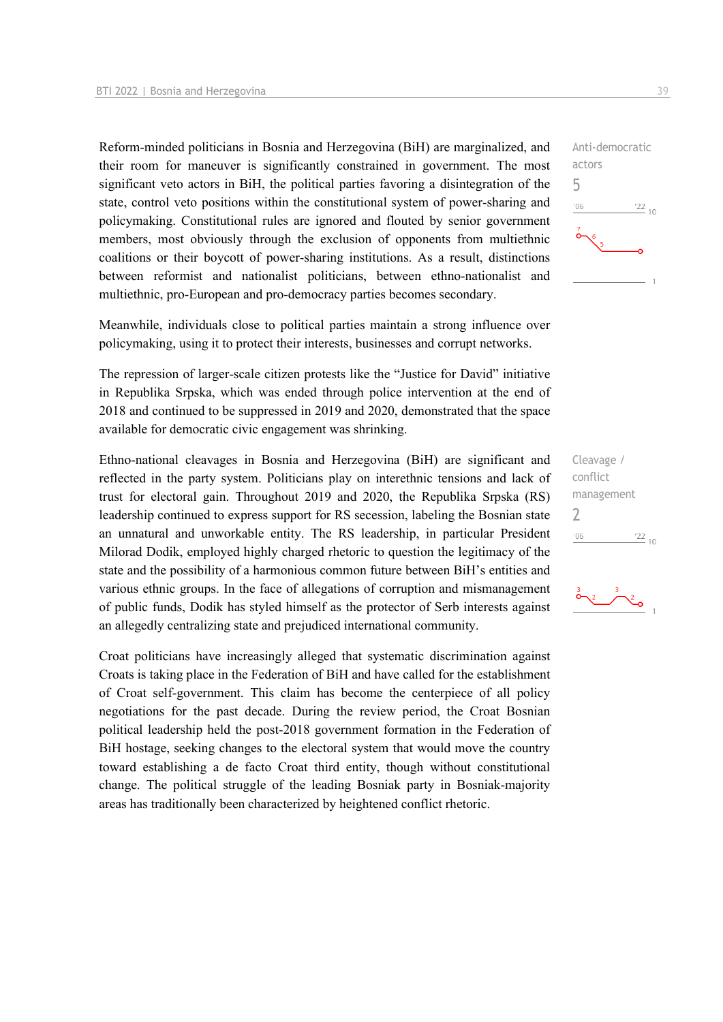Reform-minded politicians in Bosnia and Herzegovina (BiH) are marginalized, and their room for maneuver is significantly constrained in government. The most significant veto actors in BiH, the political parties favoring a disintegration of the state, control veto positions within the constitutional system of power-sharing and policymaking. Constitutional rules are ignored and flouted by senior government members, most obviously through the exclusion of opponents from multiethnic coalitions or their boycott of power-sharing institutions. As a result, distinctions between reformist and nationalist politicians, between ethno-nationalist and multiethnic, pro-European and pro-democracy parties becomes secondary.

Meanwhile, individuals close to political parties maintain a strong influence over policymaking, using it to protect their interests, businesses and corrupt networks.

The repression of larger-scale citizen protests like the "Justice for David" initiative in Republika Srpska, which was ended through police intervention at the end of 2018 and continued to be suppressed in 2019 and 2020, demonstrated that the space available for democratic civic engagement was shrinking.

Ethno-national cleavages in Bosnia and Herzegovina (BiH) are significant and reflected in the party system. Politicians play on interethnic tensions and lack of trust for electoral gain. Throughout 2019 and 2020, the Republika Srpska (RS) leadership continued to express support for RS secession, labeling the Bosnian state an unnatural and unworkable entity. The RS leadership, in particular President Milorad Dodik, employed highly charged rhetoric to question the legitimacy of the state and the possibility of a harmonious common future between BiH's entities and various ethnic groups. In the face of allegations of corruption and mismanagement of public funds, Dodik has styled himself as the protector of Serb interests against an allegedly centralizing state and prejudiced international community.

Croat politicians have increasingly alleged that systematic discrimination against Croats is taking place in the Federation of BiH and have called for the establishment of Croat self-government. This claim has become the centerpiece of all policy negotiations for the past decade. During the review period, the Croat Bosnian political leadership held the post-2018 government formation in the Federation of BiH hostage, seeking changes to the electoral system that would move the country toward establishing a de facto Croat third entity, though without constitutional change. The political struggle of the leading Bosniak party in Bosniak-majority areas has traditionally been characterized by heightened conflict rhetoric.



Cleavage / conflict management  $\overline{\phantom{0}}$  $^{\prime}06$  $\frac{22}{10}$ 

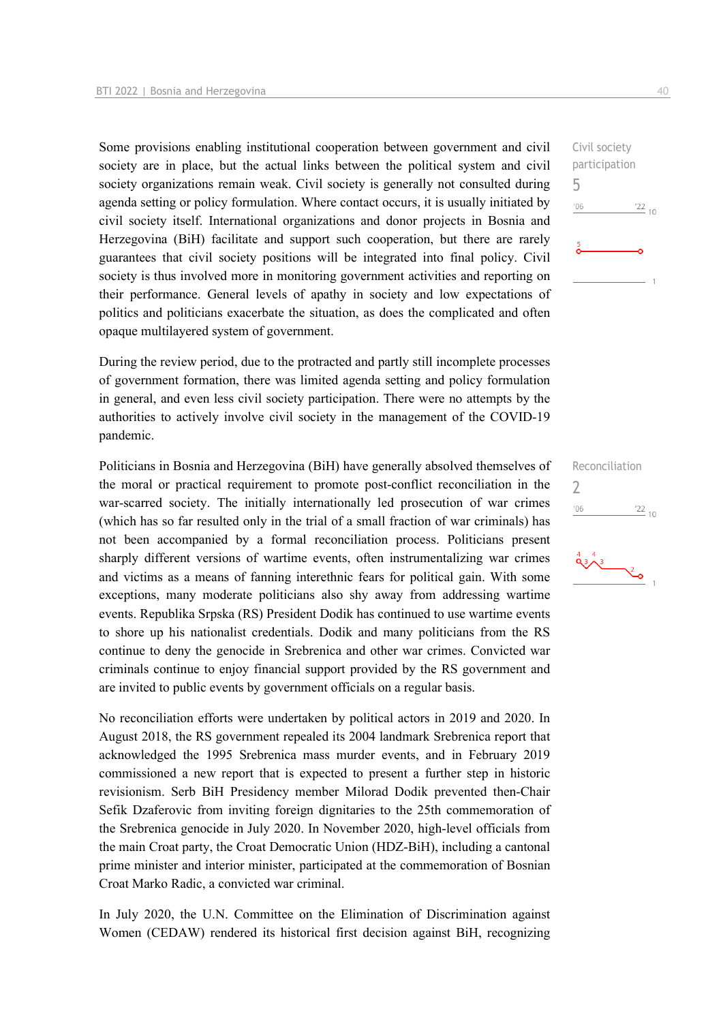Some provisions enabling institutional cooperation between government and civil society are in place, but the actual links between the political system and civil society organizations remain weak. Civil society is generally not consulted during agenda setting or policy formulation. Where contact occurs, it is usually initiated by civil society itself. International organizations and donor projects in Bosnia and Herzegovina (BiH) facilitate and support such cooperation, but there are rarely guarantees that civil society positions will be integrated into final policy. Civil society is thus involved more in monitoring government activities and reporting on their performance. General levels of apathy in society and low expectations of politics and politicians exacerbate the situation, as does the complicated and often opaque multilayered system of government.

During the review period, due to the protracted and partly still incomplete processes of government formation, there was limited agenda setting and policy formulation in general, and even less civil society participation. There were no attempts by the authorities to actively involve civil society in the management of the COVID-19 pandemic.

Politicians in Bosnia and Herzegovina (BiH) have generally absolved themselves of the moral or practical requirement to promote post-conflict reconciliation in the war-scarred society. The initially internationally led prosecution of war crimes (which has so far resulted only in the trial of a small fraction of war criminals) has not been accompanied by a formal reconciliation process. Politicians present sharply different versions of wartime events, often instrumentalizing war crimes and victims as a means of fanning interethnic fears for political gain. With some exceptions, many moderate politicians also shy away from addressing wartime events. Republika Srpska (RS) President Dodik has continued to use wartime events to shore up his nationalist credentials. Dodik and many politicians from the RS continue to deny the genocide in Srebrenica and other war crimes. Convicted war criminals continue to enjoy financial support provided by the RS government and are invited to public events by government officials on a regular basis.

No reconciliation efforts were undertaken by political actors in 2019 and 2020. In August 2018, the RS government repealed its 2004 landmark Srebrenica report that acknowledged the 1995 Srebrenica mass murder events, and in February 2019 commissioned a new report that is expected to present a further step in historic revisionism. Serb BiH Presidency member Milorad Dodik prevented then-Chair Sefik Dzaferovic from inviting foreign dignitaries to the 25th commemoration of the Srebrenica genocide in July 2020. In November 2020, high-level officials from the main Croat party, the Croat Democratic Union (HDZ-BiH), including a cantonal prime minister and interior minister, participated at the commemoration of Bosnian Croat Marko Radic, a convicted war criminal.

In July 2020, the U.N. Committee on the Elimination of Discrimination against Women (CEDAW) rendered its historical first decision against BiH, recognizing Reconciliation  $\overline{\phantom{0}}$  $\frac{22}{10}$  $'06$ 

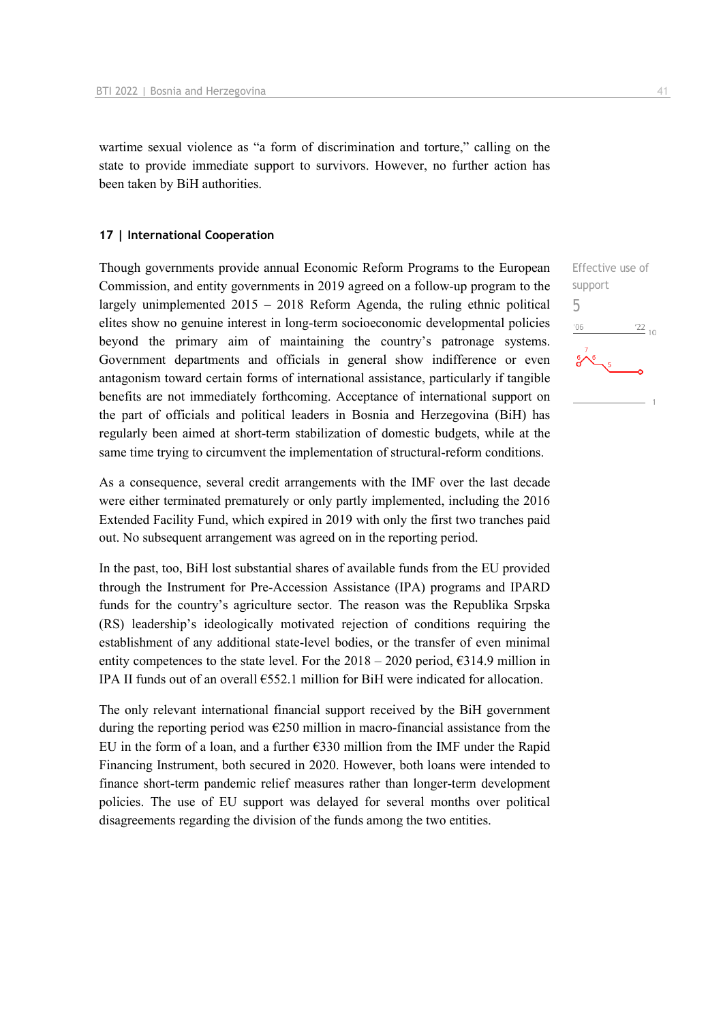wartime sexual violence as "a form of discrimination and torture," calling on the state to provide immediate support to survivors. However, no further action has been taken by BiH authorities.

#### **17 | International Cooperation**

Though governments provide annual Economic Reform Programs to the European Commission, and entity governments in 2019 agreed on a follow-up program to the largely unimplemented 2015 – 2018 Reform Agenda, the ruling ethnic political elites show no genuine interest in long-term socioeconomic developmental policies beyond the primary aim of maintaining the country's patronage systems. Government departments and officials in general show indifference or even antagonism toward certain forms of international assistance, particularly if tangible benefits are not immediately forthcoming. Acceptance of international support on the part of officials and political leaders in Bosnia and Herzegovina (BiH) has regularly been aimed at short-term stabilization of domestic budgets, while at the same time trying to circumvent the implementation of structural-reform conditions.

As a consequence, several credit arrangements with the IMF over the last decade were either terminated prematurely or only partly implemented, including the 2016 Extended Facility Fund, which expired in 2019 with only the first two tranches paid out. No subsequent arrangement was agreed on in the reporting period.

In the past, too, BiH lost substantial shares of available funds from the EU provided through the Instrument for Pre-Accession Assistance (IPA) programs and IPARD funds for the country's agriculture sector. The reason was the Republika Srpska (RS) leadership's ideologically motivated rejection of conditions requiring the establishment of any additional state-level bodies, or the transfer of even minimal entity competences to the state level. For the  $2018 - 2020$  period,  $6314.9$  million in IPA II funds out of an overall €552.1 million for BiH were indicated for allocation.

The only relevant international financial support received by the BiH government during the reporting period was  $\epsilon$ 250 million in macro-financial assistance from the EU in the form of a loan, and a further  $\epsilon$ 330 million from the IMF under the Rapid Financing Instrument, both secured in 2020. However, both loans were intended to finance short-term pandemic relief measures rather than longer-term development policies. The use of EU support was delayed for several months over political disagreements regarding the division of the funds among the two entities.

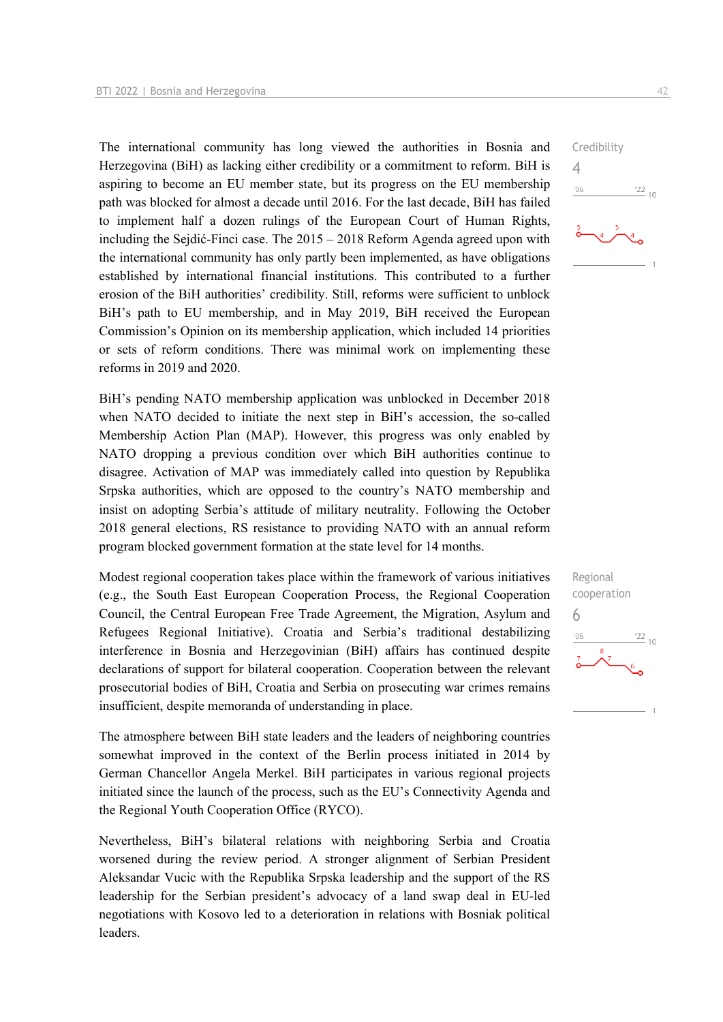The international community has long viewed the authorities in Bosnia and Herzegovina (BiH) as lacking either credibility or a commitment to reform. BiH is aspiring to become an EU member state, but its progress on the EU membership path was blocked for almost a decade until 2016. For the last decade, BiH has failed to implement half a dozen rulings of the European Court of Human Rights, including the Sejdić-Finci case. The 2015 – 2018 Reform Agenda agreed upon with the international community has only partly been implemented, as have obligations established by international financial institutions. This contributed to a further erosion of the BiH authorities' credibility. Still, reforms were sufficient to unblock BiH's path to EU membership, and in May 2019, BiH received the European Commission's Opinion on its membership application, which included 14 priorities or sets of reform conditions. There was minimal work on implementing these reforms in 2019 and 2020.

BiH's pending NATO membership application was unblocked in December 2018 when NATO decided to initiate the next step in BiH's accession, the so-called Membership Action Plan (MAP). However, this progress was only enabled by NATO dropping a previous condition over which BiH authorities continue to disagree. Activation of MAP was immediately called into question by Republika Srpska authorities, which are opposed to the country's NATO membership and insist on adopting Serbia's attitude of military neutrality. Following the October 2018 general elections, RS resistance to providing NATO with an annual reform program blocked government formation at the state level for 14 months.

Modest regional cooperation takes place within the framework of various initiatives (e.g., the South East European Cooperation Process, the Regional Cooperation Council, the Central European Free Trade Agreement, the Migration, Asylum and Refugees Regional Initiative). Croatia and Serbia's traditional destabilizing interference in Bosnia and Herzegovinian (BiH) affairs has continued despite declarations of support for bilateral cooperation. Cooperation between the relevant prosecutorial bodies of BiH, Croatia and Serbia on prosecuting war crimes remains insufficient, despite memoranda of understanding in place.

The atmosphere between BiH state leaders and the leaders of neighboring countries somewhat improved in the context of the Berlin process initiated in 2014 by German Chancellor Angela Merkel. BiH participates in various regional projects initiated since the launch of the process, such as the EU's Connectivity Agenda and the Regional Youth Cooperation Office (RYCO).

Nevertheless, BiH's bilateral relations with neighboring Serbia and Croatia worsened during the review period. A stronger alignment of Serbian President Aleksandar Vucic with the Republika Srpska leadership and the support of the RS leadership for the Serbian president's advocacy of a land swap deal in EU-led negotiations with Kosovo led to a deterioration in relations with Bosniak political leaders.



4

 $06'$ 

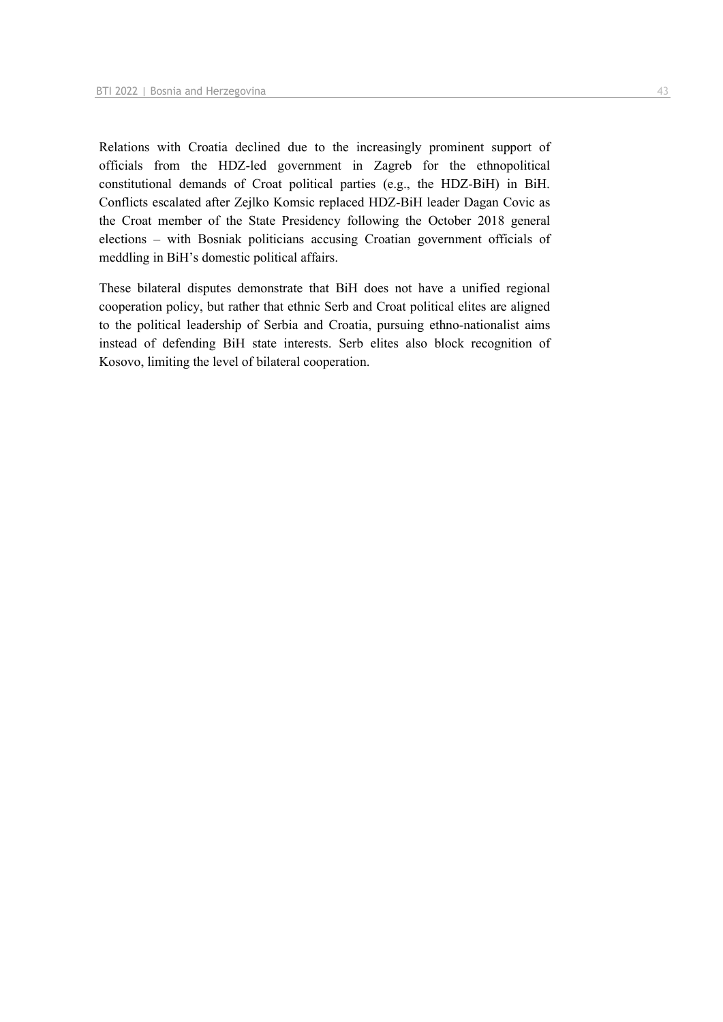Relations with Croatia declined due to the increasingly prominent support of officials from the HDZ-led government in Zagreb for the ethnopolitical constitutional demands of Croat political parties (e.g., the HDZ-BiH) in BiH. Conflicts escalated after Zejlko Komsic replaced HDZ-BiH leader Dagan Covic as the Croat member of the State Presidency following the October 2018 general elections – with Bosniak politicians accusing Croatian government officials of meddling in BiH's domestic political affairs.

These bilateral disputes demonstrate that BiH does not have a unified regional cooperation policy, but rather that ethnic Serb and Croat political elites are aligned to the political leadership of Serbia and Croatia, pursuing ethno-nationalist aims instead of defending BiH state interests. Serb elites also block recognition of Kosovo, limiting the level of bilateral cooperation.